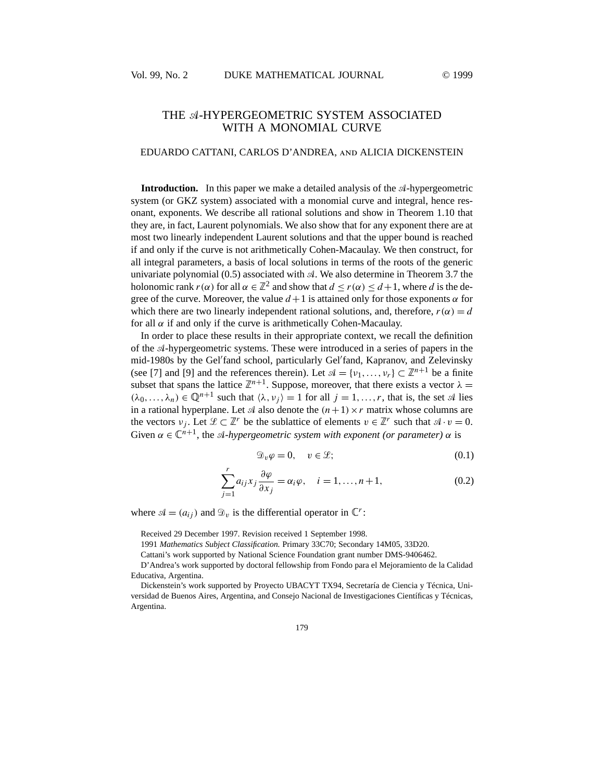## THE A-HYPERGEOMETRIC SYSTEM ASSOCIATED WITH A MONOMIAL CURVE

## EDUARDO CATTANI, CARLOS D'ANDREA, and ALICIA DICKENSTEIN

**Introduction.** In this paper we make a detailed analysis of the  $\mathcal{A}$ -hypergeometric system (or GKZ system) associated with a monomial curve and integral, hence resonant, exponents. We describe all rational solutions and show in Theorem 1.10 that they are, in fact, Laurent polynomials. We also show that for any exponent there are at most two linearly independent Laurent solutions and that the upper bound is reached if and only if the curve is not arithmetically Cohen-Macaulay. We then construct, for all integral parameters, a basis of local solutions in terms of the roots of the generic univariate polynomial  $(0.5)$  associated with  $A$ . We also determine in Theorem 3.7 the holonomic rank  $r(\alpha)$  for all  $\alpha \in \mathbb{Z}^2$  and show that  $d \leq r(\alpha) \leq d+1$ , where d is the degree of the curve. Moreover, the value  $d+1$  is attained only for those exponents  $\alpha$  for which there are two linearly independent rational solutions, and, therefore,  $r(\alpha) = d$ for all  $\alpha$  if and only if the curve is arithmetically Cohen-Macaulay.

In order to place these results in their appropriate context, we recall the definition of the  $A$ -hypergeometric systems. These were introduced in a series of papers in the mid-1980s by the Gel fand school, particularly Gel fand, Kapranov, and Zelevinsky (see [7] and [9] and the references therein). Let  $\mathcal{A} = \{v_1, \ldots, v_r\} \subset \mathbb{Z}^{n+1}$  be a finite subset that spans the lattice  $\mathbb{Z}^{n+1}$ . Suppose, moreover, that there exists a vector  $\lambda =$  $(\lambda_0, ..., \lambda_n) \in \mathbb{Q}^{n+1}$  such that  $\langle \lambda, v_j \rangle = 1$  for all  $j = 1, ..., r$ , that is, the set  $\mathcal A$  lies in a rational hyperplane. Let  $\mathcal A$  also denote the  $(n+1)\times r$  matrix whose columns are the vectors  $v_j$ . Let  $\mathcal{L} \subset \mathbb{Z}^r$  be the sublattice of elements  $v \in \mathbb{Z}^r$  such that  $\mathcal{A} \cdot v = 0$ . Given  $\alpha \in \mathbb{C}^{n+1}$ , the *A*-hypergeometric system with exponent (or parameter)  $\alpha$  is

$$
\mathfrak{D}_v \varphi = 0, \quad v \in \mathcal{L}; \tag{0.1}
$$

$$
\sum_{j=1}^{r} a_{ij} x_j \frac{\partial \varphi}{\partial x_j} = \alpha_i \varphi, \quad i = 1, \dots, n+1,
$$
\n(0.2)

where  $\mathcal{A} = (a_{ij})$  and  $\mathcal{D}_v$  is the differential operator in  $\mathbb{C}^r$ :

Received 29 December 1997. Revision received 1 September 1998.

1991 *Mathematics Subject Classification.* Primary 33C70; Secondary 14M05, 33D20.

Cattani's work supported by National Science Foundation grant number DMS-9406462.

D'Andrea's work supported by doctoral fellowship from Fondo para el Mejoramiento de la Calidad Educativa, Argentina.

Dickenstein's work supported by Proyecto UBACYT TX94, Secretaría de Ciencia y Técnica, Universidad de Buenos Aires, Argentina, and Consejo Nacional de Investigaciones Científicas y Técnicas, Argentina.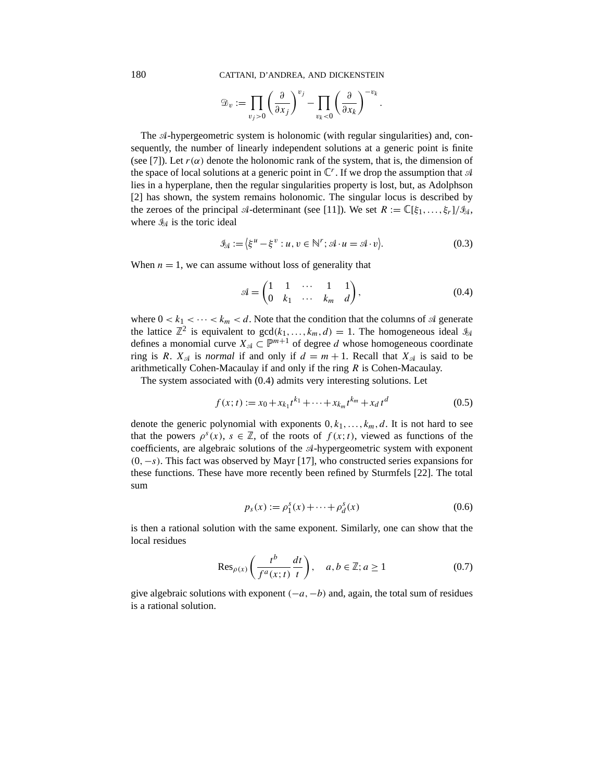$$
\mathfrak{D}_v := \prod_{v_j > 0} \left( \frac{\partial}{\partial x_j} \right)^{v_j} - \prod_{v_k < 0} \left( \frac{\partial}{\partial x_k} \right)^{-v_k}.
$$

The  $\mathcal A$ -hypergeometric system is holonomic (with regular singularities) and, consequently, the number of linearly independent solutions at a generic point is finite (see [7]). Let  $r(\alpha)$  denote the holonomic rank of the system, that is, the dimension of the space of local solutions at a generic point in  $\mathbb{C}^r$ . If we drop the assumption that  $\mathcal A$ lies in a hyperplane, then the regular singularities property is lost, but, as Adolphson [2] has shown, the system remains holonomic. The singular locus is described by the zeroes of the principal  $\mathcal A$ -determinant (see [11]). We set  $R := \mathbb C[\xi_1,\ldots,\xi_r]/\mathcal{G}_{\mathcal A}$ , where  $\mathcal{I}_{\mathcal{A}}$  is the toric ideal

$$
\mathcal{G}_{\mathcal{A}} := \left\langle \xi^u - \xi^v : u, v \in \mathbb{N}^r; \mathcal{A} \cdot u = \mathcal{A} \cdot v \right\rangle. \tag{0.3}
$$

When  $n = 1$ , we can assume without loss of generality that

$$
\mathcal{A} = \begin{pmatrix} 1 & 1 & \cdots & 1 & 1 \\ 0 & k_1 & \cdots & k_m & d \end{pmatrix},\tag{0.4}
$$

where  $0 < k_1 < \cdots < k_m < d$ . Note that the condition that the columns of  $\mathcal A$  generate the lattice  $\mathbb{Z}^2$  is equivalent to  $gcd(k_1,...,k_m,d) = 1$ . The homogeneous ideal  $\mathcal{L}_{\mathcal{A}}$ defines a monomial curve  $X_{\mathcal{A}} \subset \mathbb{P}^{m+1}$  of degree d whose homogeneous coordinate ring is R.  $X_{\mathcal{A}}$  is *normal* if and only if  $d = m + 1$ . Recall that  $X_{\mathcal{A}}$  is said to be arithmetically Cohen-Macaulay if and only if the ring  $R$  is Cohen-Macaulay.

The system associated with (0.4) admits very interesting solutions. Let

$$
f(x;t) := x_0 + x_{k_1}t^{k_1} + \dots + x_{k_m}t^{k_m} + x_d t^d
$$
\n(0.5)

denote the generic polynomial with exponents  $0, k_1, \ldots, k_m, d$ . It is not hard to see that the powers  $\rho^{s}(x)$ ,  $s \in \mathbb{Z}$ , of the roots of  $f(x; t)$ , viewed as functions of the coefficients, are algebraic solutions of the  $A$ -hypergeometric system with exponent (0,−s). This fact was observed by Mayr [17], who constructed series expansions for these functions. These have more recently been refined by Sturmfels [22]. The total sum

$$
p_s(x) := \rho_1^s(x) + \dots + \rho_d^s(x)
$$
 (0.6)

is then a rational solution with the same exponent. Similarly, one can show that the local residues

$$
\operatorname{Res}_{\rho(x)}\left(\frac{t^b}{f^a(x;t)}\frac{dt}{t}\right), \quad a, b \in \mathbb{Z}; a \ge 1 \tag{0.7}
$$

give algebraic solutions with exponent  $(-a, -b)$  and, again, the total sum of residues is a rational solution.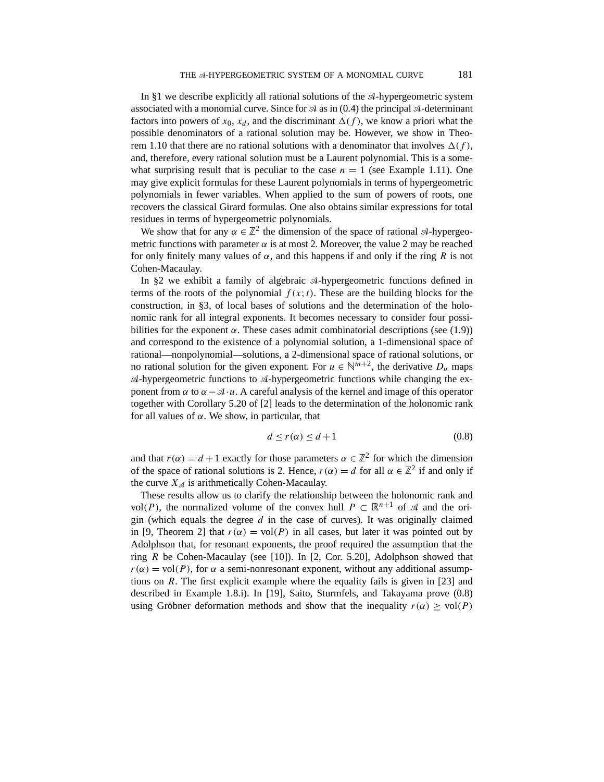In  $\S1$  we describe explicitly all rational solutions of the  $\mathcal{A}$ -hypergeometric system associated with a monomial curve. Since for  $\mathcal A$  as in (0.4) the principal  $\mathcal A$ -determinant factors into powers of  $x_0$ ,  $x_d$ , and the discriminant  $\Delta(f)$ , we know a priori what the possible denominators of a rational solution may be. However, we show in Theorem 1.10 that there are no rational solutions with a denominator that involves  $\Delta(f)$ , and, therefore, every rational solution must be a Laurent polynomial. This is a somewhat surprising result that is peculiar to the case  $n = 1$  (see Example 1.11). One may give explicit formulas for these Laurent polynomials in terms of hypergeometric polynomials in fewer variables. When applied to the sum of powers of roots, one recovers the classical Girard formulas. One also obtains similar expressions for total residues in terms of hypergeometric polynomials.

We show that for any  $\alpha \in \mathbb{Z}^2$  the dimension of the space of rational  $\mathcal{A}$ -hypergeometric functions with parameter  $\alpha$  is at most 2. Moreover, the value 2 may be reached for only finitely many values of  $\alpha$ , and this happens if and only if the ring R is not Cohen-Macaulay.

In §2 we exhibit a family of algebraic  $\mathcal{A}$ -hypergeometric functions defined in terms of the roots of the polynomial  $f(x; t)$ . These are the building blocks for the construction, in §3, of local bases of solutions and the determination of the holonomic rank for all integral exponents. It becomes necessary to consider four possibilities for the exponent  $\alpha$ . These cases admit combinatorial descriptions (see (1.9)) and correspond to the existence of a polynomial solution, a 1-dimensional space of rational—nonpolynomial—solutions, a 2-dimensional space of rational solutions, or no rational solution for the given exponent. For  $u \in \mathbb{N}^{m+2}$ , the derivative  $D_u$  maps  $\mathcal A$ -hypergeometric functions to  $\mathcal A$ -hypergeometric functions while changing the exponent from  $\alpha$  to  $\alpha - \mathcal{A} \cdot u$ . A careful analysis of the kernel and image of this operator together with Corollary 5.20 of [2] leads to the determination of the holonomic rank for all values of  $\alpha$ . We show, in particular, that

$$
d \le r(\alpha) \le d + 1 \tag{0.8}
$$

and that  $r(\alpha) = d + 1$  exactly for those parameters  $\alpha \in \mathbb{Z}^2$  for which the dimension of the space of rational solutions is 2. Hence,  $r(\alpha) = d$  for all  $\alpha \in \mathbb{Z}^2$  if and only if the curve  $X_{\mathcal{A}}$  is arithmetically Cohen-Macaulay.

These results allow us to clarify the relationship between the holonomic rank and vol(P), the normalized volume of the convex hull  $P \subset \mathbb{R}^{n+1}$  of  $\mathcal A$  and the origin (which equals the degree  $d$  in the case of curves). It was originally claimed in [9, Theorem 2] that  $r(\alpha) = \text{vol}(P)$  in all cases, but later it was pointed out by Adolphson that, for resonant exponents, the proof required the assumption that the ring  $R$  be Cohen-Macaulay (see [10]). In [2, Cor. 5.20], Adolphson showed that  $r(\alpha) = \text{vol}(P)$ , for  $\alpha$  a semi-nonresonant exponent, without any additional assumptions on  $R$ . The first explicit example where the equality fails is given in [23] and described in Example 1.8.i). In [19], Saito, Sturmfels, and Takayama prove  $(0.8)$ using Gröbner deformation methods and show that the inequality  $r(\alpha) \geq \text{vol}(P)$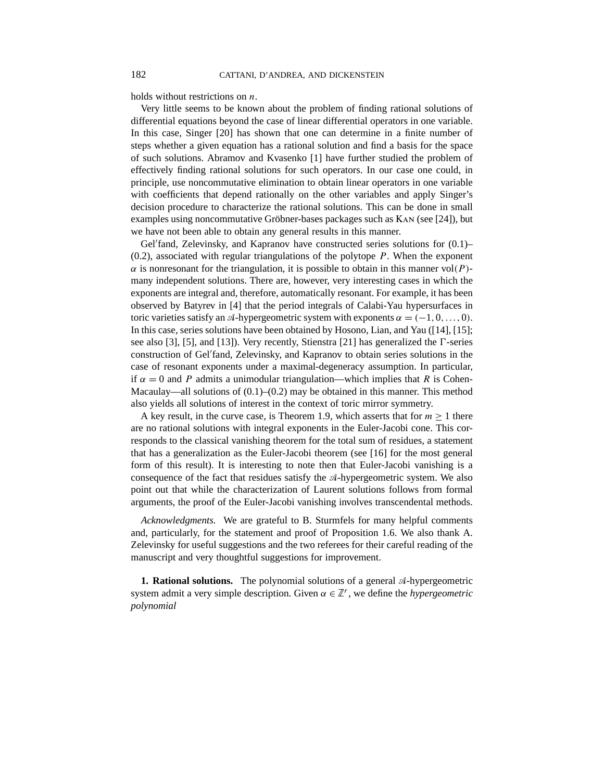holds without restrictions on *n*.

Very little seems to be known about the problem of finding rational solutions of differential equations beyond the case of linear differential operators in one variable. In this case, Singer [20] has shown that one can determine in a finite number of steps whether a given equation has a rational solution and find a basis for the space of such solutions. Abramov and Kvasenko [1] have further studied the problem of effectively finding rational solutions for such operators. In our case one could, in principle, use noncommutative elimination to obtain linear operators in one variable with coefficients that depend rationally on the other variables and apply Singer's decision procedure to characterize the rational solutions. This can be done in small examples using noncommutative Gröbner-bases packages such as Kan (see [24]), but we have not been able to obtain any general results in this manner.

Gel fand, Zelevinsky, and Kapranov have constructed series solutions for (0.1)–  $(0.2)$ , associated with regular triangulations of the polytope  $P$ . When the exponent  $\alpha$  is nonresonant for the triangulation, it is possible to obtain in this manner vol(P)many independent solutions. There are, however, very interesting cases in which the exponents are integral and, therefore, automatically resonant. For example, it has been observed by Batyrev in[4] that the period integrals of Calabi-Yau hypersurfaces in toric varieties satisfy an  $\mathcal{A}$ -hypergeometric system with exponents  $\alpha = (-1,0,\ldots,0)$ . In this case, series solutions have been obtained by Hosono, Lian, and Yau ([14], [15]; see also [3], [5], and [13]). Very recently, Stienstra [21] has generalized the  $\Gamma$ -series construction of Gel fand, Zelevinsky, and Kapranov to obtain series solutions in the case of resonant exponents under a maximal-degeneracy assumption. In particular, if  $\alpha = 0$  and P admits a unimodular triangulation—which implies that R is Cohen-Macaulay—all solutions of (0.1)–(0.2) may be obtained in this manner. This method also yields all solutions of interest in the context of toric mirror symmetry.

A key result, in the curve case, is Theorem 1.9, which asserts that for  $m > 1$  there are no rational solutions with integral exponents in the Euler-Jacobi cone. This corresponds to the classical vanishing theorem for the total sum of residues, a statement that has a generalization as the Euler-Jacobi theorem (see [16] for the most general form of this result). It is interesting to note then that Euler-Jacobi vanishing is a consequence of the fact that residues satisfy the  $A$ -hypergeometric system. We also point out that while the characterization of Laurent solutions follows from formal arguments, the proof of the Euler-Jacobi vanishing involves transcendental methods.

*Acknowledgments.* We are grateful to B. Sturmfels for many helpful comments and, particularly, for the statement and proof of Proposition 1.6. We also thank A. Zelevinsky for useful suggestions and the two referees for their careful reading of the manuscript and very thoughtful suggestions for improvement.

**1. Rational solutions.** The polynomial solutions of a general  $\mathcal{A}$ -hypergeometric system admit a very simple description. Given  $\alpha \in \mathbb{Z}^r$ , we define the *hypergeometric polynomial*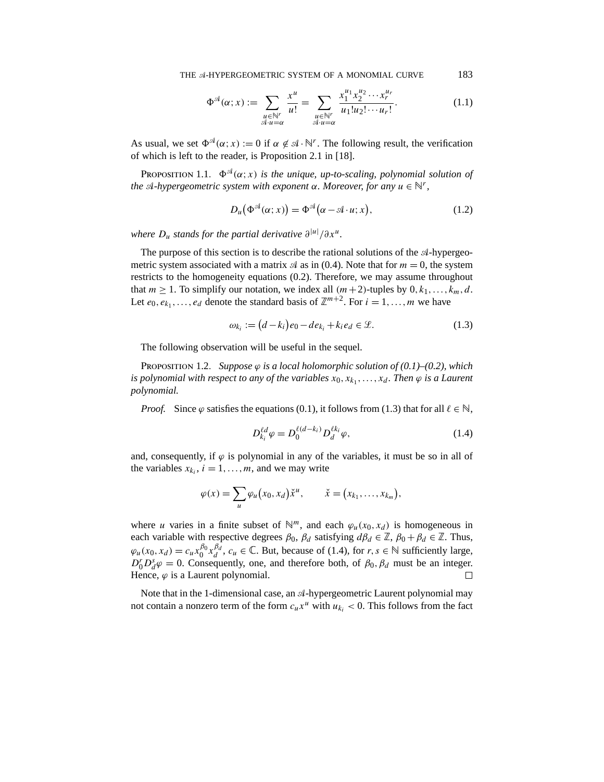$$
\Phi^{\mathcal{A}}(\alpha; x) := \sum_{\substack{u \in \mathbb{N}^r \\ \mathcal{A} \cdot u = \alpha}} \frac{x^u}{u!} = \sum_{\substack{u \in \mathbb{N}^r \\ \mathcal{A} \cdot u = \alpha}} \frac{x_1^{u_1} x_2^{u_2} \cdots x_r^{u_r}}{u_1! u_2! \cdots u_r!}.
$$
(1.1)

As usual, we set  $\Phi^{\mathcal{A}}(\alpha; x) := 0$  if  $\alpha \notin \mathcal{A} \cdot \mathbb{N}^r$ . The following result, the verification of which is left to the reader, is Proposition 2.1 in [18].

PROPOSITION 1.1.  $\Phi^{\mathfrak{A}}(\alpha; x)$  *is the unique, up-to-scaling, polynomial solution of the*  $\mathcal{A}-h$ *ypergeometric system with exponent*  $\alpha$ *. Moreover, for any*  $u \in \mathbb{N}^r$ *,* 

$$
D_u(\Phi^{\mathcal{A}}(\alpha; x)) = \Phi^{\mathcal{A}}(\alpha - \mathcal{A} \cdot u; x), \qquad (1.2)
$$

 $where D<sub>u</sub> stands for the partial derivative \partial<sup>|u|</sup>/\partial x<sup>u</sup>.$ 

The purpose of this section is to describe the rational solutions of the  $\mathcal{A}$ -hypergeometric system associated with a matrix  $\mathcal A$  as in (0.4). Note that for  $m = 0$ , the system restricts to the homogeneity equations (0.2). Therefore, we may assume throughout that  $m \ge 1$ . To simplify our notation, we index all  $(m+2)$ -tuples by  $0, k_1, \ldots, k_m, d$ . Let  $e_0, e_{k_1}, \ldots, e_d$  denote the standard basis of  $\mathbb{Z}^{m+2}$ . For  $i = 1, \ldots, m$  we have

$$
\omega_{k_i} := (d - k_i)e_0 - de_{k_i} + k_i e_d \in \mathcal{L}.
$$
\n(1.3)

The following observation will be useful in the sequel.

PROPOSITION 1.2. *Suppose*  $\varphi$  *is a local holomorphic solution of*  $(0.1)$ – $(0.2)$ *, which is polynomial with respect to any of the variables*  $x_0, x_{k_1}, \ldots, x_d$ *. Then*  $\varphi$  *is a Laurent polynomial.*

*Proof.* Since  $\varphi$  satisfies the equations (0.1), it follows from (1.3) that for all  $\ell \in \mathbb{N}$ ,

$$
D_{k_i}^{\ell d} \varphi = D_0^{\ell(d-k_i)} D_d^{\ell k_i} \varphi, \qquad (1.4)
$$

and, consequently, if  $\varphi$  is polynomial in any of the variables, it must be so in all of the variables  $x_k$ ,  $i = 1, \ldots, m$ , and we may write

$$
\varphi(x) = \sum_{u} \varphi_u(x_0, x_d) \check{x}^u, \qquad \check{x} = (x_{k_1}, \dots, x_{k_m}),
$$

where u varies in a finite subset of  $\mathbb{N}^m$ , and each  $\varphi_u(x_0, x_d)$  is homogeneous in each variable with respective degrees  $\beta_0$ ,  $\beta_d$  satisfying  $d\beta_d \in \mathbb{Z}$ ,  $\beta_0 + \beta_d \in \mathbb{Z}$ . Thus,  $\varphi_u(x_0, x_d) = c_u x_0^{\beta_0} x_d^{\beta_d}, c_u \in \mathbb{C}$ . But, because of (1.4), for  $r, s \in \mathbb{N}$  sufficiently large,  $D_0^r D_d^s \varphi = 0$ . Consequently, one, and therefore both, of  $\beta_0$ ,  $\beta_d$  must be an integer. Hence,  $\varphi$  is a Laurent polynomial.  $\Box$ 

Note that in the 1-dimensional case, an  $A$ -hypergeometric Laurent polynomial may not contain a nonzero term of the form  $c_u x^u$  with  $u_{k_i} < 0$ . This follows from the fact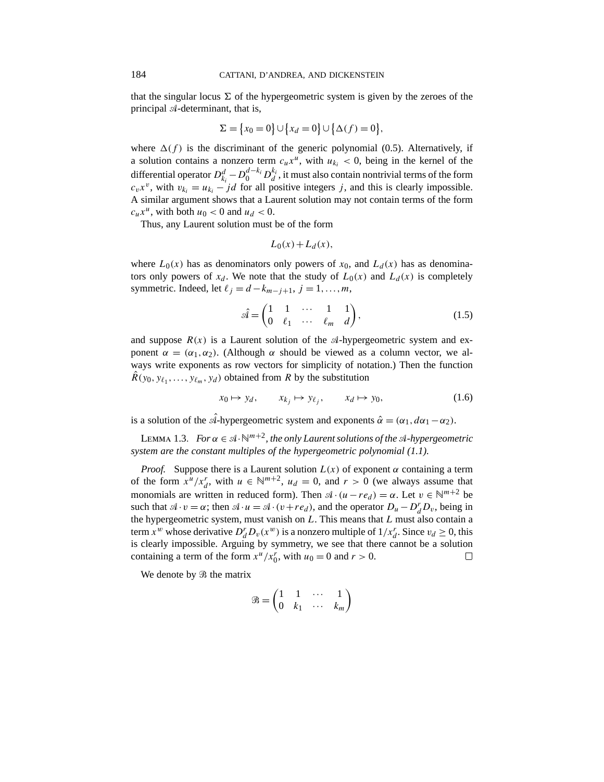that the singular locus  $\Sigma$  of the hypergeometric system is given by the zeroes of the principal  $\mathcal A$ -determinant, that is,

$$
\Sigma = \{x_0 = 0\} \cup \{x_d = 0\} \cup \{\Delta(f) = 0\},\
$$

where  $\Delta(f)$  is the discriminant of the generic polynomial (0.5). Alternatively, if a solution contains a nonzero term  $c_u x^u$ , with  $u_{k_i} < 0$ , being in the kernel of the differential operator  $D_{k_i}^d - D_0^{d-k_i} D_d^{k_i}$  , it must also contain nontrivial terms of the form  $c_vx_v$ , with  $v_{ki} = u_{ki} - jd$  for all positive integers j, and this is clearly impossible. A similar argument shows that a Laurent solution may not contain terms of the form  $c<sub>u</sub>x<sup>u</sup>$ , with both  $u<sub>0</sub> < 0$  and  $u<sub>d</sub> < 0$ .

Thus, any Laurent solution must be of the form

$$
L_0(x) + L_d(x),
$$

where  $L_0(x)$  has as denominators only powers of  $x_0$ , and  $L_d(x)$  has as denominators only powers of  $x_d$ . We note that the study of  $L_0(x)$  and  $L_d(x)$  is completely symmetric. Indeed, let  $\ell_j = d - k_{m-j+1}, j = 1, \ldots, m$ ,

$$
\hat{\mathcal{A}} = \begin{pmatrix} 1 & 1 & \cdots & 1 & 1 \\ 0 & \ell_1 & \cdots & \ell_m & d \end{pmatrix},\tag{1.5}
$$

and suppose  $R(x)$  is a Laurent solution of the  $A$ -hypergeometric system and exponent  $\alpha = (\alpha_1, \alpha_2)$ . (Although  $\alpha$  should be viewed as a column vector, we always write exponents as row vectors for simplicity of notation.) Then the function  $R(y_0, y_{\ell_1}, \ldots, y_{\ell_m}, y_d)$  obtained from R by the substitution

$$
x_0 \mapsto y_d, \qquad x_{k_j} \mapsto y_{\ell_j}, \qquad x_d \mapsto y_0,\tag{1.6}
$$

is a solution of the  $\hat{A}$ -hypergeometric system and exponents  $\hat{\alpha} = (\alpha_1, d\alpha_1 - \alpha_2)$ .

LEMMA 1.3. *For*  $\alpha \in \mathcal{A} \cdot \mathbb{N}^{m+2}$ , the only Laurent solutions of the  $\mathcal{A}$ -hypergeometric *system are the constant multiples of the hypergeometric polynomial (1.1).*

*Proof.* Suppose there is a Laurent solution  $L(x)$  of exponent  $\alpha$  containing a term of the form  $x^u/x_d^r$ , with  $u \in \mathbb{N}^{m+2}$ ,  $u_d = 0$ , and  $r > 0$  (we always assume that monomials are written in reduced form). Then  $\mathcal{A} \cdot (u - re_d) = \alpha$ . Let  $v \in \mathbb{N}^{m+2}$  be such that  $\mathcal{A} \cdot v = \alpha$ ; then  $\mathcal{A} \cdot u = \mathcal{A} \cdot (v + re_d)$ , and the operator  $D_u - D_d^r D_v$ , being in the hypergeometric system, must vanish on  $L$ . This means that  $L$  must also contain a term  $x^w$  whose derivative  $D_d^r D_v(x^w)$  is a nonzero multiple of  $1/x_d^r$ . Since  $v_d \ge 0$ , this is clearly impossible. Arguing by symmetry, we see that there cannot be a solution containing a term of the form  $x^u/x_0^r$ , with  $u_0 = 0$  and  $r > 0$ .  $\Box$ 

We denote by  $\mathcal{B}$  the matrix

$$
\mathcal{B} = \begin{pmatrix} 1 & 1 & \cdots & 1 \\ 0 & k_1 & \cdots & k_m \end{pmatrix}
$$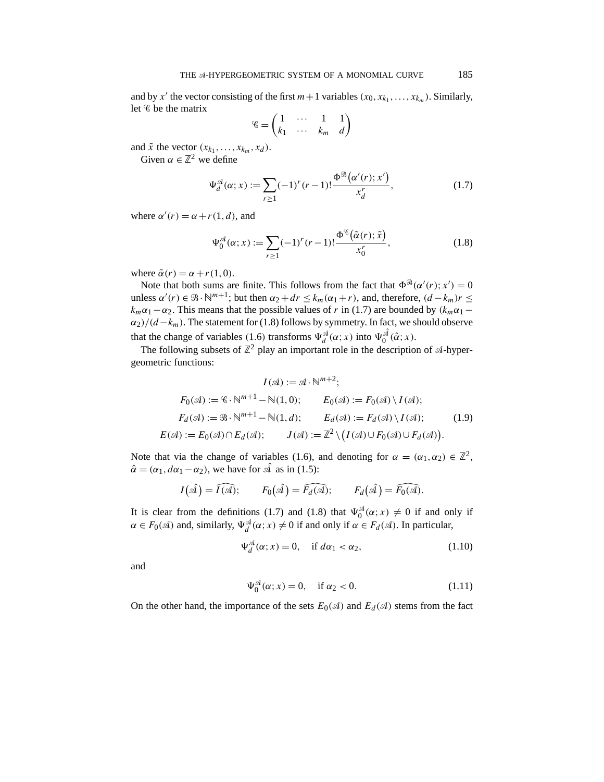and by x' the vector consisting of the first  $m+1$  variables  $(x_0, x_{k_1},...,x_{k_m})$ . Similarly, let  $\mathscr C$  be the matrix

$$
\mathscr{C} = \begin{pmatrix} 1 & \cdots & 1 & 1 \\ k_1 & \cdots & k_m & d \end{pmatrix}
$$

and  $\tilde{x}$  the vector  $(x_{k_1},...,x_{k_m},x_d)$ .

Given  $\alpha \in \mathbb{Z}^2$  we define

$$
\Psi_d^{\mathcal{A}}(\alpha; x) := \sum_{r \ge 1} (-1)^r (r - 1)! \frac{\Phi^{\mathcal{B}}(\alpha'(r); x')}{x_d^r},\tag{1.7}
$$

where  $\alpha'(r) = \alpha + r(1, d)$ , and

$$
\Psi_0^{\mathcal{A}}(\alpha; x) := \sum_{r \ge 1} (-1)^r (r - 1)! \frac{\Phi^{\mathcal{A}}(\tilde{\alpha}(r); \tilde{x})}{x_0^r},\tag{1.8}
$$

where  $\tilde{\alpha}(r) = \alpha + r(1,0)$ .

Note that both sums are finite. This follows from the fact that  $\Phi^{\mathcal{B}}(\alpha'(r);x') = 0$ unless  $\alpha'(r) \in \mathcal{B} \cdot \mathbb{N}^{m+1}$ ; but then  $\alpha_2 + dr \leq k_m(\alpha_1 + r)$ , and, therefore,  $(d - k_m)r \leq$  $k_m \alpha_1 - \alpha_2$ . This means that the possible values of r in (1.7) are bounded by  $(k_m \alpha_1 \alpha_2$ )/(d – k<sub>m</sub>). The statement for (1.8) follows by symmetry. In fact, we should observe that the change of variables (1.6) transforms  $\Psi_d^{\mathcal{A}}(\alpha; x)$  into  $\Psi_0^{\mathcal{A}}(\hat{\alpha}; x)$ .

The following subsets of  $\mathbb{Z}^2$  play an important role in the description of  $\mathcal{A}$ -hypergeometric functions:

$$
I(\mathcal{A}) := \mathcal{A} \cdot \mathbb{N}^{m+2};
$$
  
\n
$$
F_0(\mathcal{A}) := \mathcal{C} \cdot \mathbb{N}^{m+1} - \mathbb{N}(1,0); \qquad E_0(\mathcal{A}) := F_0(\mathcal{A}) \setminus I(\mathcal{A});
$$
  
\n
$$
F_d(\mathcal{A}) := \mathcal{B} \cdot \mathbb{N}^{m+1} - \mathbb{N}(1,d); \qquad E_d(\mathcal{A}) := F_d(\mathcal{A}) \setminus I(\mathcal{A}); \qquad (1.9)
$$
  
\n
$$
E(\mathcal{A}) := E_0(\mathcal{A}) \cap E_d(\mathcal{A}); \qquad J(\mathcal{A}) := \mathbb{Z}^2 \setminus (I(\mathcal{A}) \cup F_0(\mathcal{A}) \cup F_d(\mathcal{A})).
$$

Note that via the change of variables (1.6), and denoting for  $\alpha = (\alpha_1, \alpha_2) \in \mathbb{Z}^2$ ,  $\hat{\alpha} = (\alpha_1, d\alpha_1 - \alpha_2)$ , we have for  $\hat{\mathcal{A}}$  as in (1.5):

$$
I(\hat{\mathcal{A}}) = \widehat{I(\mathcal{A})};
$$
  $F_0(\hat{\mathcal{A}}) = \widehat{F_d(\mathcal{A})};$   $F_d(\hat{\mathcal{A}}) = \widehat{F_0(\mathcal{A})}.$ 

It is clear from the definitions (1.7) and (1.8) that  $\Psi_0^{\mathcal{A}}(\alpha; x) \neq 0$  if and only if  $\alpha \in F_0(\mathcal{A})$  and, similarly,  $\Psi_d^{\mathcal{A}}(\alpha; x) \neq 0$  if and only if  $\alpha \in F_d(\mathcal{A})$ . In particular,

$$
\Psi_d^{\mathcal{A}}(\alpha; x) = 0, \quad \text{if } d\alpha_1 < \alpha_2,\tag{1.10}
$$

and

$$
\Psi_0^{\mathcal{A}}(\alpha; x) = 0, \quad \text{if } \alpha_2 < 0. \tag{1.11}
$$

On the other hand, the importance of the sets  $E_0(\mathcal{A})$  and  $E_d(\mathcal{A})$  stems from the fact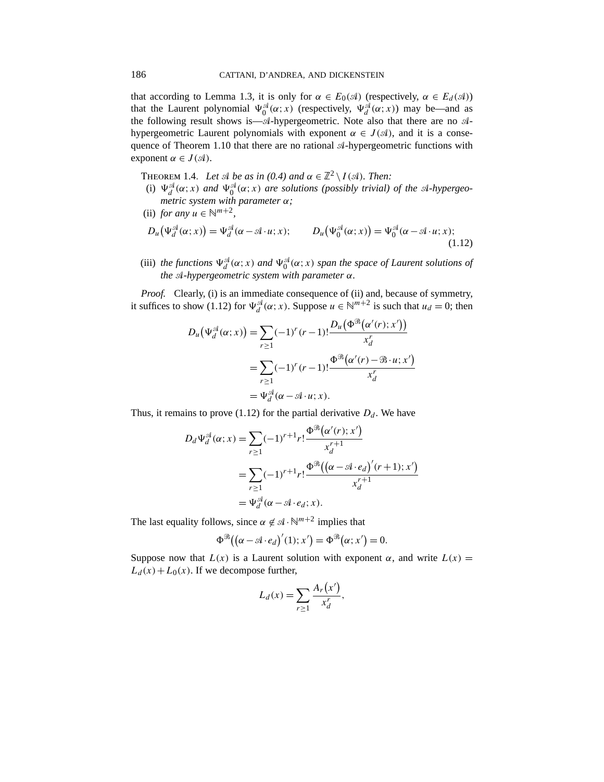that according to Lemma 1.3, it is only for  $\alpha \in E_0(\mathcal{A})$  (respectively,  $\alpha \in E_d(\mathcal{A})$ ) that the Laurent polynomial  $\Psi_0^{\mathcal{A}}(\alpha; x)$  (respectively,  $\Psi_d^{\mathcal{A}}(\alpha; x)$ ) may be—and as the following result shows is— $\mathcal{A}$ -hypergeometric. Note also that there are no  $\mathcal{A}$ hypergeometric Laurent polynomials with exponent  $\alpha \in J(\mathcal{A})$ , and it is a consequence of Theorem 1.10 that there are no rational  $\mathcal{A}$ -hypergeometric functions with exponent  $\alpha \in J(\mathcal{A})$ .

- THEOREM 1.4. *Let*  $\mathcal A$  *be as in* (0.4) and  $\alpha \in \mathbb Z^2 \setminus I(\mathcal{A})$ *. Then:*
- (i)  $\Psi_d^{\mathcal{A}}(\alpha; x)$  and  $\Psi_0^{\mathcal{A}}(\alpha; x)$  are solutions (possibly trivial) of the A-hypergeo*metric system with parameter* α*;*
- (ii) *for any*  $u \in \mathbb{N}^{m+2}$ ,

$$
D_u(\Psi_d^{\mathcal{A}}(\alpha;x)) = \Psi_d^{\mathcal{A}}(\alpha - \mathcal{A} \cdot u; x); \qquad D_u(\Psi_0^{\mathcal{A}}(\alpha;x)) = \Psi_0^{\mathcal{A}}(\alpha - \mathcal{A} \cdot u; x); \tag{1.12}
$$

(iii) *the functions*  $\Psi_d^{\mathcal{A}}(\alpha; x)$  *and*  $\Psi_0^{\mathcal{A}}(\alpha; x)$  *span the space of Laurent solutions of the -hypergeometric system with parameter* α*.*

*Proof.* Clearly, (i) is an immediate consequence of (ii) and, because of symmetry, it suffices to show (1.12) for  $\Psi_d^{\mathcal{A}}(\alpha; x)$ . Suppose  $u \in \mathbb{N}^{m+2}$  is such that  $u_d = 0$ ; then

$$
D_u(\Psi_d^{\mathcal{A}}(\alpha; x)) = \sum_{r \ge 1} (-1)^r (r - 1)! \frac{D_u(\Phi^{\mathcal{B}}(\alpha'(r); x'))}{x_d^r}
$$
  
= 
$$
\sum_{r \ge 1} (-1)^r (r - 1)! \frac{\Phi^{\mathcal{B}}(\alpha'(r) - \mathcal{B} \cdot u; x')}{x_d^r}
$$
  
= 
$$
\Psi_d^{\mathcal{A}}(\alpha - \mathcal{A} \cdot u; x).
$$

Thus, it remains to prove (1.12) for the partial derivative  $D_d$ . We have

$$
D_d \Psi_d^{\mathcal{A}}(\alpha; x) = \sum_{r \ge 1} (-1)^{r+1} r! \frac{\Phi^{\mathcal{B}}(\alpha'(r); x')}{x_d^{r+1}}
$$
  
= 
$$
\sum_{r \ge 1} (-1)^{r+1} r! \frac{\Phi^{\mathcal{B}}((\alpha - \mathcal{A} \cdot e_d)'(r+1); x')}{x_d^{r+1}}
$$
  
= 
$$
\Psi_d^{\mathcal{A}}(\alpha - \mathcal{A} \cdot e_d; x).
$$

The last equality follows, since  $\alpha \notin \mathcal{A} \cdot \mathbb{N}^{m+2}$  implies that

$$
\Phi^{\mathcal{B}}((\alpha - \mathcal{A} \cdot e_d)'(1); x') = \Phi^{\mathcal{B}}(\alpha; x') = 0.
$$

Suppose now that  $L(x)$  is a Laurent solution with exponent  $\alpha$ , and write  $L(x) =$  $L_d(x) + L_0(x)$ . If we decompose further,

$$
L_d(x) = \sum_{r \ge 1} \frac{A_r(x')}{x_d^r},
$$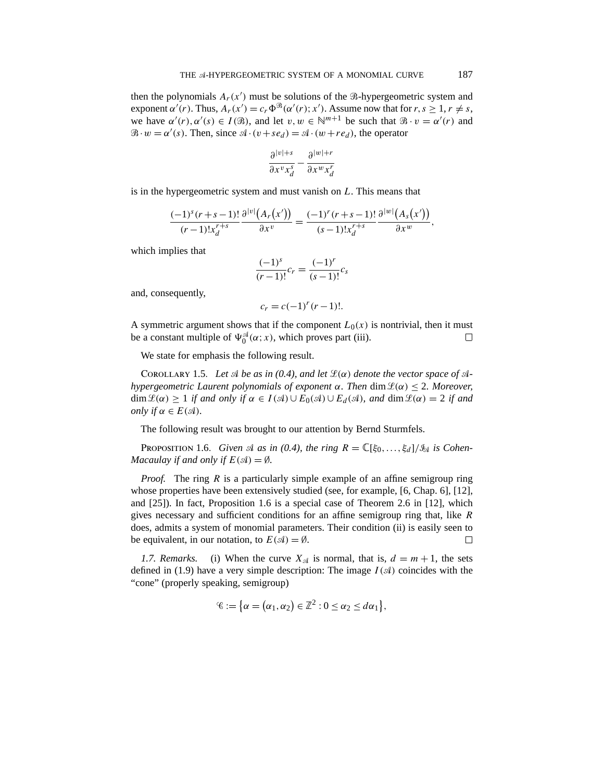then the polynomials  $A_r(x')$  must be solutions of the  $\Re$ -hypergeometric system and exponent  $\alpha'(r)$ . Thus,  $A_r(x') = c_r \Phi^{\mathcal{B}}(\alpha'(r); x')$ . Assume now that for  $r, s \ge 1, r \ne s$ , we have  $\alpha'(r), \alpha'(s) \in I(\mathcal{B})$ , and let  $v, w \in \mathbb{N}^{m+1}$  be such that  $\mathcal{B} \cdot v = \alpha'(r)$  and  $\mathcal{B} \cdot w = \alpha'(s)$ . Then, since  $\mathcal{A} \cdot (v + s e_d) = \mathcal{A} \cdot (w + r e_d)$ , the operator

$$
\frac{\partial^{|v|+s}}{\partial x^v x_d^s} - \frac{\partial^{|w|+r}}{\partial x^w x_d^r}
$$

is in the hypergeometric system and must vanish on  $L$ . This means that

$$
\frac{(-1)^{s}(r+s-1)!}{(r-1)!x_d^{r+s}}\frac{\partial^{|v|}(A_r(x'))}{\partial x^v}=\frac{(-1)^{r}(r+s-1)!}{(s-1)!x_d^{r+s}}\frac{\partial^{|w|}(A_s(x'))}{\partial x^w},
$$

which implies that

$$
\frac{(-1)^s}{(r-1)!}c_r = \frac{(-1)^r}{(s-1)!}c_s
$$

and, consequently,

$$
c_r = c(-1)^r (r-1)!.
$$

A symmetric argument shows that if the component  $L_0(x)$  is nontrivial, then it must be a constant multiple of  $\Psi_0^{\mathcal{A}}(\alpha; x)$ , which proves part (iii).  $\Box$ 

We state for emphasis the following result.

COROLLARY 1.5. Let  $\mathcal A$  be as in (0.4), and let  $\mathcal L(\alpha)$  denote the vector space of  $\mathcal A$ *hypergeometric Laurent polynomials of exponent* α*. Then* dim-(α) ≤ 2*. Moreover,*  $\dim \mathcal{L}(\alpha) \geq 1$  *if and only if*  $\alpha \in I(\mathcal{A}) \cup E_0(\mathcal{A}) \cup E_d(\mathcal{A})$ *, and*  $\dim \mathcal{L}(\alpha) = 2$  *if and only if*  $\alpha \in E(\mathcal{A})$ *.* 

The following result was brought to our attention by Bernd Sturmfels.

**PROPOSITION 1.6.** *Given*  $\mathcal A$  *as in* (0.4), the ring  $R = \mathbb C[\xi_0, \dots, \xi_d]/\mathcal{Y}_{\mathcal{A}}$  is Cohen-*Macaulay if and only if*  $E(\mathcal{A}) = \emptyset$ *.* 

*Proof.* The ring R is a particularly simple example of an affine semigroup ring whose properties have been extensively studied (see, for example, [6, Chap. 6], [12], and  $[25]$ ). In fact, Proposition 1.6 is a special case of Theorem 2.6 in  $[12]$ , which gives necessary and sufficient conditions for an affine semigroup ring that, like  $$ does, admits a system of monomial parameters. Their condition (ii) is easily seen to be equivalent, in our notation, to  $E(\mathcal{A}) = \emptyset$ .  $\Box$ 

*1.7. Remarks.* (i) When the curve  $X_{\mathcal{A}}$  is normal, that is,  $d = m + 1$ , the sets defined in (1.9) have a very simple description: The image  $I(\mathcal{A})$  coincides with the "cone" (properly speaking, semigroup)

$$
\mathscr{C}:=\big\{\alpha=\big(\alpha_1,\alpha_2\big)\in\mathbb{Z}^2:0\leq\alpha_2\leq d\alpha_1\big\},\
$$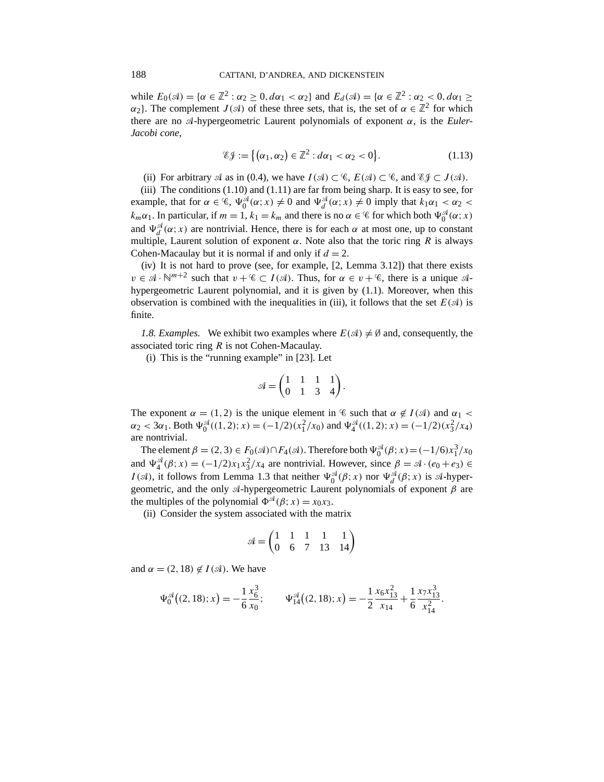while  $E_0(\mathcal{A}) = {\alpha \in \mathbb{Z}^2 : \alpha_2 \geq 0, d\alpha_1 < \alpha_2}$  and  $E_d(\mathcal{A}) = {\alpha \in \mathbb{Z}^2 : \alpha_2 < 0, d\alpha_1 \geq 0}$  $\alpha_2$ }. The complement  $J(\mathcal{A})$  of these three sets, that is, the set of  $\alpha \in \mathbb{Z}^2$  for which there are no  $\mathcal{A}$ -hypergeometric Laurent polynomials of exponent  $\alpha$ , is the *Euler*-*Jacobi cone*,

$$
\mathscr{E}\mathscr{J} := \left\{ \left( \alpha_1, \alpha_2 \right) \in \mathbb{Z}^2 : d\alpha_1 < \alpha_2 < 0 \right\}. \tag{1.13}
$$

(ii) For arbitrary  $\mathcal A$  as in (0.4), we have  $I(\mathcal A) \subset \mathcal C$ ,  $E(\mathcal A) \subset \mathcal C$ , and  $\mathcal E \mathcal F \subset J(\mathcal A)$ .

(iii) The conditions  $(1.10)$  and  $(1.11)$  are far from being sharp. It is easy to see, for example, that for  $\alpha \in \mathcal{C}$ ,  $\Psi_0^{\mathcal{A}}(\alpha; x) \neq 0$  and  $\Psi_d^{\mathcal{A}}(\alpha; x) \neq 0$  imply that  $k_1 \alpha_1 < \alpha_2 <$  $k_m \alpha_1$ . In particular, if  $m = 1$ ,  $k_1 = k_m$  and there is no  $\alpha \in \mathscr{C}$  for which both  $\Psi_0^{\mathscr{A}}(\alpha; x)$ and  $\Psi_d^{\mathcal{A}}(\alpha; x)$  are nontrivial. Hence, there is for each  $\alpha$  at most one, up to constant multiple, Laurent solution of exponent  $\alpha$ . Note also that the toric ring R is always Cohen-Macaulay but it is normal if and only if  $d = 2$ .

(iv) It is not hard to prove (see, for example, [2, Lemma 3.12]) that there exists  $v \in \mathcal{A} \cdot \mathbb{N}^{m+2}$  such that  $v + \mathcal{C} \subset I(\mathcal{A})$ . Thus, for  $\alpha \in v + \mathcal{C}$ , there is a unique  $\mathcal{A}$ hypergeometric Laurent polynomial, and it is given by (1.1). Moreover, when this observation is combined with the inequalities in (iii), it follows that the set  $E(\mathcal{A})$  is finite.

*1.8. Examples.* We exhibit two examples where  $E(\mathcal{A}) \neq \emptyset$  and, consequently, the associated toric ring  $R$  is not Cohen-Macaulay.

(i) This is the "running example" in [23]. Let

$$
\mathcal{A} = \begin{pmatrix} 1 & 1 & 1 & 1 \\ 0 & 1 & 3 & 4 \end{pmatrix}.
$$

The exponent  $\alpha = (1, 2)$  is the unique element in  $\mathscr{C}$  such that  $\alpha \notin I(\mathscr{A})$  and  $\alpha_1$  $\alpha_2 < 3\alpha_1$ . Both  $\Psi_0^{\mathcal{A}}((1,2); x) = (-1/2)(x_1^2/x_0)$  and  $\Psi_4^{\mathcal{A}}((1,2); x) = (-1/2)(x_3^2/x_4)$ are nontrivial.

The element  $\beta = (2, 3) \in F_0(\mathcal{A}) \cap F_4(\mathcal{A})$ . Therefore both  $\Psi_0^{\mathcal{A}}(\beta; x) = (-1/6)x_1^3/x_0$ and  $\Psi_4^{\mathcal{A}}(\beta; x) = (-1/2)x_1x_3^2/x_4$  are nontrivial. However, since  $\beta = \mathcal{A} \cdot (e_0 + e_3) \in$  $I(\mathcal{A})$ , it follows from Lemma 1.3 that neither  $\Psi_0^{\mathcal{A}}(\beta; x)$  nor  $\Psi_d^{\mathcal{A}}(\beta; x)$  is  $\mathcal{A}$ -hypergeometric, and the only  $\mathcal{A}$ -hypergeometric Laurent polynomials of exponent  $\beta$  are the multiples of the polynomial  $\Phi^{\mathcal{A}}(\beta; x) = x_0 x_3$ .

(ii) Consider the system associated with the matrix

$$
\mathcal{A} = \begin{pmatrix} 1 & 1 & 1 & 1 & 1 \\ 0 & 6 & 7 & 13 & 14 \end{pmatrix}
$$

and  $\alpha = (2, 18) \notin I(\mathcal{A})$ . We have

$$
\Psi_0^{\mathcal{A}}\big((2,18);x\big) = -\frac{1}{6} \frac{x_6^3}{x_0}; \qquad \Psi_{14}^{\mathcal{A}}\big((2,18);x\big) = -\frac{1}{2} \frac{x_6 x_{13}^2}{x_{14}} + \frac{1}{6} \frac{x_7 x_{13}^3}{x_{14}^2}.
$$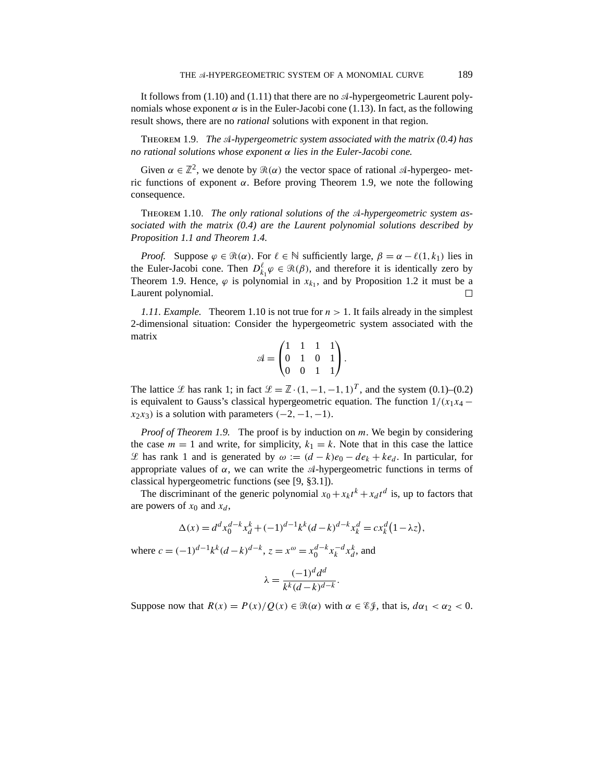It follows from  $(1.10)$  and  $(1.11)$  that there are no  $A$ -hypergeometric Laurent polynomials whose exponent  $\alpha$  is in the Euler-Jacobi cone (1.13). In fact, as the following result shows, there are no *rational* solutions with exponent in that region.

Theorem 1.9. *The -hypergeometric system associated with the matrix (0.4) has no rational solutions whose exponent* α *lies in the Euler-Jacobi cone.*

Given  $\alpha \in \mathbb{Z}^2$ , we denote by  $\Re(\alpha)$  the vector space of rational  $\mathcal{A}$ -hypergeo- metric functions of exponent  $α$ . Before proving Theorem 1.9, we note the following consequence.

THEOREM 1.10. *The only rational solutions of the A-hypergeometric system associated with the matrix (0.4) are the Laurent polynomial solutions described by Proposition 1.1 and Theorem 1.4.*

*Proof.* Suppose  $\varphi \in \mathcal{R}(\alpha)$ . For  $\ell \in \mathbb{N}$  sufficiently large,  $\beta = \alpha - \ell(1, k_1)$  lies in the Euler-Jacobi cone. Then  $D_{k_1}^{\ell} \varphi \in \mathcal{R}(\beta)$ , and therefore it is identically zero by Theorem 1.9. Hence,  $\varphi$  is polynomial in  $x_{k_1}$ , and by Proposition 1.2 it must be a Laurent polynomial.  $\Box$ 

*1.11. Example.* Theorem 1.10 is not true for  $n > 1$ . It fails already in the simplest 2-dimensional situation: Consider the hypergeometric system associated with the matrix

$$
\mathcal{A} = \begin{pmatrix} 1 & 1 & 1 & 1 \\ 0 & 1 & 0 & 1 \\ 0 & 0 & 1 & 1 \end{pmatrix}.
$$

The lattice  $\mathcal L$  has rank 1; in fact  $\mathcal L = \mathbb{Z} \cdot (1, -1, -1, 1)^T$ , and the system (0.1)–(0.2) is equivalent to Gauss's classical hypergeometric equation. The function  $1/(x_1x_4$  $x_2x_3$ ) is a solution with parameters  $(-2, -1, -1)$ .

*Proof of Theorem 1.9.* The proof is by induction on m. We begin by considering the case  $m = 1$  and write, for simplicity,  $k_1 = k$ . Note that in this case the lattice  $\mathcal L$  has rank 1 and is generated by  $ω := (d - k)e_0 - de_k + ke_d$ . In particular, for appropriate values of  $\alpha$ , we can write the  $\mathcal{A}$ -hypergeometric functions in terms of classical hypergeometric functions (see [9, §3.1]).

The discriminant of the generic polynomial  $x_0 + x_k t^k + x_d t^d$  is, up to factors that are powers of  $x_0$  and  $x_d$ ,

$$
\Delta(x) = d^d x_0^{d-k} x_d^k + (-1)^{d-1} k^k (d-k)^{d-k} x_k^d = c x_k^d (1 - \lambda z),
$$

where  $c = (-1)^{d-1} k^k (d-k)^{d-k}$ ,  $z = x^{\omega} = x_0^{d-k} x_k^{-d} x_d^k$ , and

$$
\lambda = \frac{(-1)^d d^d}{k^k (d-k)^{d-k}}.
$$

Suppose now that  $R(x) = P(x)/Q(x) \in \mathcal{R}(\alpha)$  with  $\alpha \in \mathcal{E}\mathcal{F}$ , that is,  $d\alpha_1 < \alpha_2 < 0$ .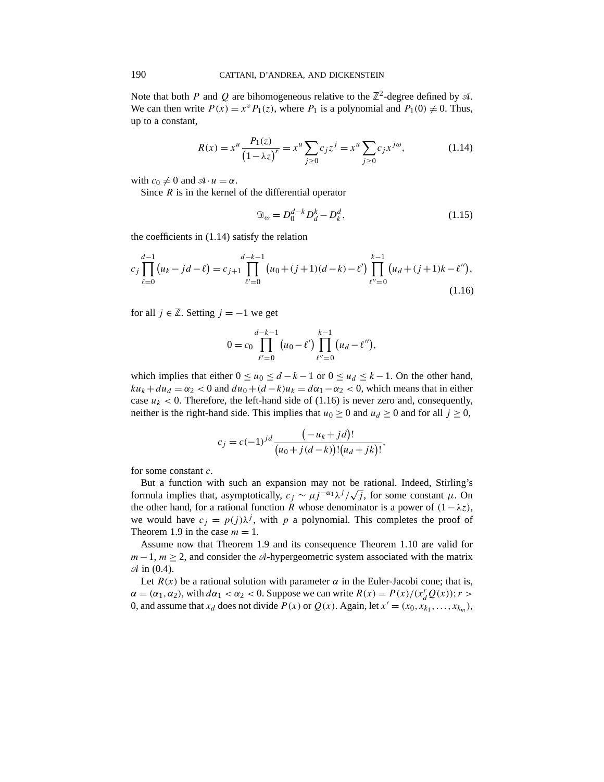Note that both P and Q are bihomogeneous relative to the  $\mathbb{Z}^2$ -degree defined by A. We can then write  $P(x) = x^{\nu} P_1(z)$ , where  $P_1$  is a polynomial and  $P_1(0) \neq 0$ . Thus, up to a constant,

$$
R(x) = x^u \frac{P_1(z)}{(1 - \lambda z)^r} = x^u \sum_{j \ge 0} c_j z^j = x^u \sum_{j \ge 0} c_j x^{j\omega},
$$
 (1.14)

with  $c_0 \neq 0$  and  $\mathcal{A} \cdot u = \alpha$ .

Since  $R$  is in the kernel of the differential operator

$$
\mathcal{D}_{\omega} = D_0^{d-k} D_d^k - D_k^d, \tag{1.15}
$$

the coefficients in (1.14) satisfy the relation

$$
c_j \prod_{\ell=0}^{d-1} (u_k - jd - \ell) = c_{j+1} \prod_{\ell'=0}^{d-k-1} (u_0 + (j+1)(d-k) - \ell') \prod_{\ell''=0}^{k-1} (u_d + (j+1)k - \ell''),
$$
\n(1.16)

for all  $j \in \mathbb{Z}$ . Setting  $j = -1$  we get

$$
0 = c_0 \prod_{\ell'=0}^{d-k-1} (u_0 - \ell') \prod_{\ell''=0}^{k-1} (u_d - \ell''),
$$

which implies that either  $0 \le u_0 \le d - k - 1$  or  $0 \le u_d \le k - 1$ . On the other hand,  $ku_k + du_d = \alpha_2 < 0$  and  $du_0 + (d - k)u_k = d\alpha_1 - \alpha_2 < 0$ , which means that in either case  $u_k < 0$ . Therefore, the left-hand side of (1.16) is never zero and, consequently, neither is the right-hand side. This implies that  $u_0 \ge 0$  and  $u_d \ge 0$  and for all  $j \ge 0$ ,

$$
c_j = c(-1)^{jd} \frac{(-u_k + jd)!}{(u_0 + j(d-k))!(u_d + jk)!},
$$

for some constant c.

But a function with such an expansion may not be rational. Indeed, Stirling's Formula implies that, asymptotically,  $c_j \sim μ_j^{-\alpha_1} \lambda^j / \sqrt{j}$ , for some constant  $μ$ . On the other hand, for a rational function R whose denominator is a power of  $(1-\lambda z)$ , we would have  $c_j = p(j)\lambda^j$ , with p a polynomial. This completes the proof of Theorem 1.9 in the case  $m = 1$ .

Assume now that Theorem 1.9 and its consequence Theorem 1.10 are valid for  $m-1$ ,  $m \geq 2$ , and consider the  $\mathcal{A}$ -hypergeometric system associated with the matrix  $\mathcal A$  in (0.4).

Let  $R(x)$  be a rational solution with parameter  $\alpha$  in the Euler-Jacobi cone; that is,  $\alpha = (\alpha_1, \alpha_2)$ , with  $d\alpha_1 < \alpha_2 < 0$ . Suppose we can write  $R(x) = P(x)/(x_d^r Q(x)); r >$ 0, and assume that  $x_d$  does not divide  $P(x)$  or  $Q(x)$ . Again, let  $x' = (x_0, x_{k_1}, \ldots, x_{k_m})$ ,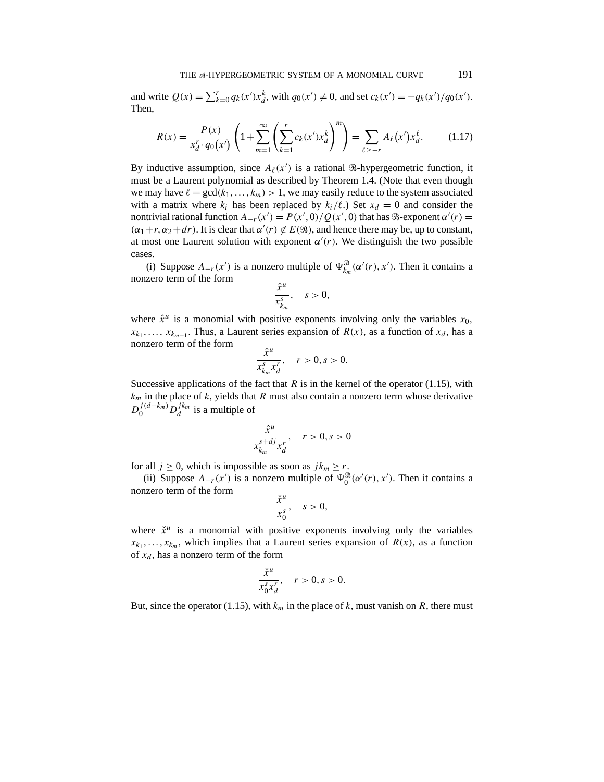and write  $Q(x) = \sum_{k=0}^{r} q_k(x')x_d^k$ , with  $q_0(x') \neq 0$ , and set  $c_k(x') = -q_k(x')/q_0(x')$ . Then,

$$
R(x) = \frac{P(x)}{x_d^r \cdot q_0(x')} \left( 1 + \sum_{m=1}^{\infty} \left( \sum_{k=1}^r c_k(x') x_d^k \right)^m \right) = \sum_{\ell \ge -r} A_{\ell}(x') x_d^{\ell}.
$$
 (1.17)

By inductive assumption, since  $A_{\ell}(x')$  is a rational  $\Re$ -hypergeometric function, it must be a Laurent polynomial as described by Theorem 1.4. (Note that even though we may have  $\ell = \gcd(k_1, \ldots, k_m) > 1$ , we may easily reduce to the system associated with a matrix where  $k_i$  has been replaced by  $k_i/\ell$ .) Set  $x_d = 0$  and consider the nontrivial rational function  $A_{-r}(x') = P(x', 0) / Q(x', 0)$  that has  $\Re$ -exponent  $\alpha'(r) =$  $(\alpha_1+r, \alpha_2+dr)$ . It is clear that  $\alpha'(r) \notin E(\mathcal{B})$ , and hence there may be, up to constant, at most one Laurent solution with exponent  $\alpha'(r)$ . We distinguish the two possible cases.

(i) Suppose  $A_{-r}(x')$  is a nonzero multiple of  $\Psi_{k_m}^{\mathcal{B}}(\alpha'(r), x')$ . Then it contains a nonzero term of the form

$$
\frac{\hat{x}^u}{x_{k_m}^s}, \quad s > 0,
$$

where  $\hat{x}^u$  is a monomial with positive exponents involving only the variables  $x_0$ ,  $x_{k_1}, \ldots, x_{k_{m-1}}$ . Thus, a Laurent series expansion of  $R(x)$ , as a function of  $x_d$ , has a nonzero term of the form  $\hat{u}$ 

$$
\frac{x^u}{x_{k_m}^s x_d^r}, \quad r > 0, s > 0.
$$

Successive applications of the fact that  $R$  is in the kernel of the operator (1.15), with  $k_m$  in the place of k, yields that R must also contain a nonzero term whose derivative  $D_0^{j(d-k_m)} D_d^{jk_m}$  is a multiple of

$$
\frac{\hat{x}^u}{x_{k_m}^{s+dj}x_d^r}, \quad r > 0, s > 0
$$

for all  $j \ge 0$ , which is impossible as soon as  $jk_m \ge r$ .

(ii) Suppose  $A_{-r}(x')$  is a nonzero multiple of  $\Psi_0^{\mathcal{B}}(\alpha'(r), x')$ . Then it contains a nonzero term of the form

$$
\frac{\check{x}^u}{x_0^s}, \quad s > 0,
$$

where  $\check{x}^u$  is a monomial with positive exponents involving only the variables  $x_{k_1}, \ldots, x_{k_m}$ , which implies that a Laurent series expansion of  $R(x)$ , as a function of  $x_d$ , has a nonzero term of the form

$$
\frac{\check{x}^u}{x_0^s x_d^r}, \quad r > 0, s > 0.
$$

But, since the operator (1.15), with  $k_m$  in the place of k, must vanish on R, there must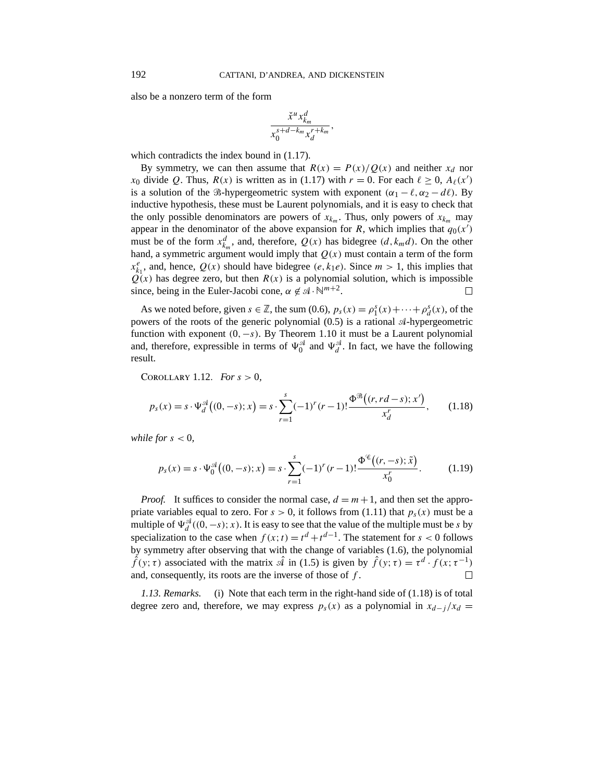also be a nonzero term of the form

$$
\frac{\check{x}^u x_{k_m}^d}{x_0^{s+d-k_m} x_d^{r+k_m}}
$$

,

which contradicts the index bound in  $(1.17)$ .

By symmetry, we can then assume that  $R(x) = P(x)/Q(x)$  and neither  $x_d$  nor  $x_0$  divide Q. Thus,  $R(x)$  is written as in (1.17) with  $r = 0$ . For each  $\ell \ge 0$ ,  $A_{\ell}(x')$ is a solution of the  $\mathcal{B}$ -hypergeometric system with exponent  $(\alpha_1 - \ell, \alpha_2 - d\ell)$ . By inductive hypothesis, these must be Laurent polynomials, and it is easy to check that the only possible denominators are powers of  $x_{k_m}$ . Thus, only powers of  $x_{k_m}$  may appear in the denominator of the above expansion for R, which implies that  $q_0(x)$ must be of the form  $x_{k_m}^d$ , and, therefore,  $Q(x)$  has bidegree  $(d, k_m d)$ . On the other hand, a symmetric argument would imply that  $Q(x)$  must contain a term of the form  $x_{k_1}^e$ , and, hence,  $Q(x)$  should have bidegree  $(e, k_1e)$ . Since  $m > 1$ , this implies that  $Q(x)$  has degree zero, but then  $R(x)$  is a polynomial solution, which is impossible since, being in the Euler-Jacobi cone,  $\alpha \notin \mathcal{A} \cdot \mathbb{N}^{m+2}$ .  $\Box$ 

As we noted before, given  $s \in \mathbb{Z}$ , the sum (0.6),  $p_s(x) = \rho_1^s(x) + \cdots + \rho_d^s(x)$ , of the powers of the roots of the generic polynomial  $(0.5)$  is a rational  $\mathcal{A}$ -hypergeometric function with exponent  $(0, -s)$ . By Theorem 1.10 it must be a Laurent polynomial and, therefore, expressible in terms of  $\Psi_0^{\mathcal{A}}$  and  $\Psi_d^{\mathcal{A}}$ . In fact, we have the following result.

COROLLARY 1.12. *For*  $s > 0$ ,

$$
p_s(x) = s \cdot \Psi_d^{\mathcal{A}}\big( (0, -s); x \big) = s \cdot \sum_{r=1}^s (-1)^r (r-1)! \frac{\Phi^{\mathcal{B}}\big( (r, rd-s); x' \big)}{x_d^r}, \qquad (1.18)
$$

*while for*  $s < 0$ *,* 

$$
p_s(x) = s \cdot \Psi_0^{\mathcal{A}}\big((0, -s); x\big) = s \cdot \sum_{r=1}^s (-1)^r (r-1)! \frac{\Phi^{\mathcal{A}}\big((r, -s); \tilde{x}\big)}{x_0^r}.
$$
 (1.19)

*Proof.* It suffices to consider the normal case,  $d = m + 1$ , and then set the appropriate variables equal to zero. For  $s > 0$ , it follows from (1.11) that  $p_s(x)$  must be a multiple of  $\Psi_d^{\mathcal{A}}((0,-s);x)$ . It is easy to see that the value of the multiple must be s by specialization to the case when  $f(x; t) = t^d + t^{d-1}$ . The statement for s < 0 follows by symmetry after observing that with the change of variables (1.6), the polynomial  $\hat{f}(y; \tau)$  associated with the matrix  $\hat{A}$  in (1.5) is given by  $\hat{f}(y; \tau) = \tau^d \cdot f(x; \tau^{-1})$ and, consequently, its roots are the inverse of those of  $f$ .  $\Box$ 

*1.13. Remarks.* (i) Note that each term in the right-hand side of (1.18) is of total degree zero and, therefore, we may express  $p_s(x)$  as a polynomial in  $x_{d-j}/x_d =$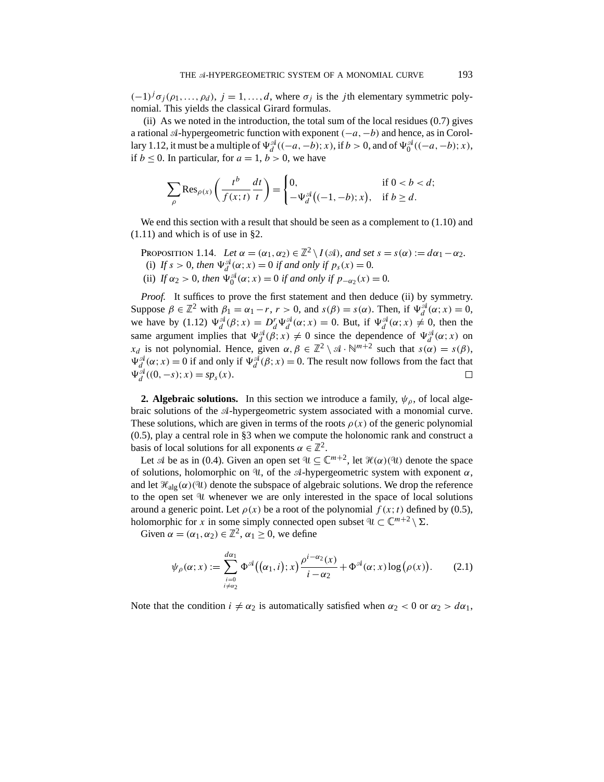$(-1)^{j} \sigma_j(\rho_1,\ldots,\rho_d)$ ,  $j = 1,\ldots,d$ , where  $\sigma_j$  is the jth elementary symmetric polynomial. This yields the classical Girard formulas.

(ii) As we noted in the introduction, the total sum of the local residues (0.7) gives a rational  $\mathcal{A}$ -hypergeometric function with exponent ( $-a$ ,  $-b$ ) and hence, as in Corollary 1.12, it must be a multiple of  $\Psi_d^{\mathcal{A}}((-a, -b); x)$ , if  $b > 0$ , and of  $\Psi_0^{\mathcal{A}}((-a, -b); x)$ , if  $b \le 0$ . In particular, for  $a = 1$ ,  $b > 0$ , we have

$$
\sum_{\rho} \text{Res}_{\rho(x)} \left( \frac{t^b}{f(x;t)} \frac{dt}{t} \right) = \begin{cases} 0, & \text{if } 0 < b < d; \\ -\Psi_d^{\mathcal{A}} \big( (-1, -b); x \big), & \text{if } b \ge d. \end{cases}
$$

We end this section with a result that should be seen as a complement to  $(1.10)$  and (1.11) and which is of use in §2.

PROPOSITION 1.14. *Let*  $\alpha = (\alpha_1, \alpha_2) \in \mathbb{Z}^2 \setminus I(\mathcal{A})$ *, and set*  $s = s(\alpha) := d\alpha_1 - \alpha_2$ *.* (i) If  $s > 0$ , then  $\Psi_d^{\mathcal{A}}(\alpha; x) = 0$  if and only if  $p_s(x) = 0$ . (ii) *If*  $\alpha_2 > 0$ *, then*  $\Psi_0^{\mathcal{A}}(\alpha; x) = 0$  *if and only if*  $p_{-\alpha_2}(x) = 0$ *.* 

*Proof.* It suffices to prove the first statement and then deduce (ii) by symmetry. Suppose  $\beta \in \mathbb{Z}^2$  with  $\beta_1 = \alpha_1 - r$ ,  $r > 0$ , and  $s(\beta) = s(\alpha)$ . Then, if  $\Psi_d^{\mathcal{A}}(\alpha; x) = 0$ , we have by (1.12)  $\Psi_d^{\mathcal{A}}(\beta; x) = D_d^r \Psi_d^{\mathcal{A}}(\alpha; x) = 0$ . But, if  $\Psi_d^{\mathcal{A}}(\alpha; x) \neq 0$ , then the same argument implies that  $\Psi_d^{\mathcal{A}}(\beta; x) \neq 0$  since the dependence of  $\Psi_d^{\mathcal{A}}(\alpha; x)$  on  $x_d$  is not polynomial. Hence, given  $\alpha, \beta \in \mathbb{Z}^2 \setminus \mathcal{A} \cdot \mathbb{N}^{m+2}$  such that  $s(\alpha) = s(\beta)$ ,  $\Psi_{d}^{\mathcal{A}}(\alpha; x) = 0$  if and only if  $\Psi_{d}^{\mathcal{A}}(\beta; x) = 0$ . The result now follows from the fact that  $\Psi_d^{\mathcal{A}}((0,-s);x) = sp_s(x).$  $\Box$ 

**2. Algebraic solutions.** In this section we introduce a family,  $\psi_{\rho}$ , of local algebraic solutions of the  $A$ -hypergeometric system associated with a monomial curve. These solutions, which are given in terms of the roots  $\rho(x)$  of the generic polynomial (0.5), play a central role in §3 when we compute the holonomic rank and construct a basis of local solutions for all exponents  $\alpha \in \mathbb{Z}^2$ .

Let  $\mathcal A$  be as in (0.4). Given an open set  $\mathcal U \subseteq \mathbb{C}^{m+2}$ , let  $\mathcal{H}(\alpha)(\mathcal{U})$  denote the space of solutions, holomorphic on  $U$ , of the  $A$ -hypergeometric system with exponent  $\alpha$ , and let  $\mathcal{H}_{\text{alg}}(\alpha)(\mathcal{U})$  denote the subspace of algebraic solutions. We drop the reference to the open set  $\mathcal{U}$  whenever we are only interested in the space of local solutions around a generic point. Let  $\rho(x)$  be a root of the polynomial  $f(x; t)$  defined by (0.5), holomorphic for x in some simply connected open subset  $\mathcal{U} \subset \mathbb{C}^{m+2} \setminus \Sigma$ .

Given  $\alpha = (\alpha_1, \alpha_2) \in \mathbb{Z}^2$ ,  $\alpha_1 \geq 0$ , we define

$$
\psi_{\rho}(\alpha; x) := \sum_{\substack{i=0 \ i \neq \alpha_2}}^{d\alpha_1} \Phi^{\mathcal{A}}\big((\alpha_1, i); x\big) \frac{\rho^{i-\alpha_2}(x)}{i-\alpha_2} + \Phi^{\mathcal{A}}(\alpha; x) \log(\rho(x)).\tag{2.1}
$$

Note that the condition  $i \neq \alpha_2$  is automatically satisfied when  $\alpha_2 < 0$  or  $\alpha_2 > d\alpha_1$ ,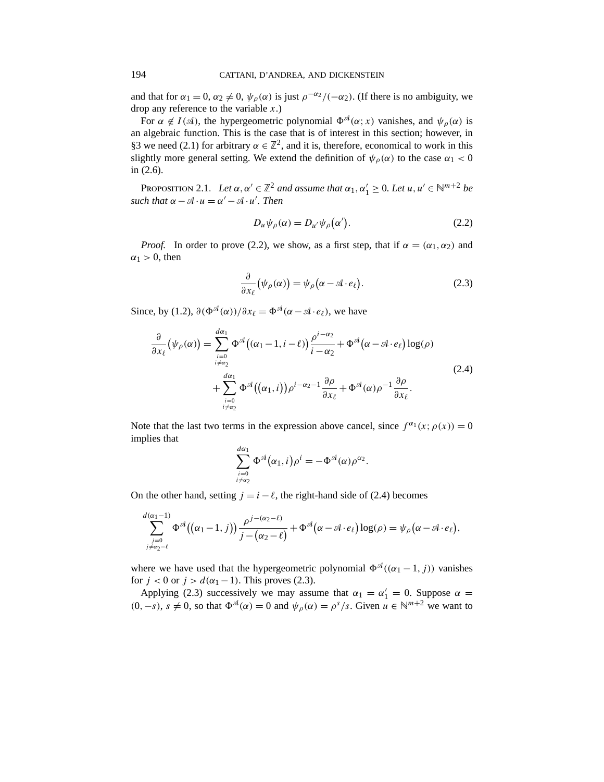and that for  $\alpha_1 = 0$ ,  $\alpha_2 \neq 0$ ,  $\psi_\rho(\alpha)$  is just  $\rho^{-\alpha_2}/(-\alpha_2)$ . (If there is no ambiguity, we drop any reference to the variable  $x$ .)

For  $\alpha \notin I(\mathcal{A})$ , the hypergeometric polynomial  $\Phi^{\mathcal{A}}(\alpha; x)$  vanishes, and  $\psi_{\rho}(\alpha)$  is an algebraic function. This is the case that is of interest in this section; however, in §3 we need (2.1) for arbitrary  $\alpha \in \mathbb{Z}^2$ , and it is, therefore, economical to work in this slightly more general setting. We extend the definition of  $\psi_{\rho}(\alpha)$  to the case  $\alpha_1 < 0$ in(2.6).

PROPOSITION 2.1. *Let*  $\alpha, \alpha' \in \mathbb{Z}^2$  *and assume that*  $\alpha_1, \alpha'_1 \geq 0$ *. Let*  $u, u' \in \mathbb{N}^{m+2}$  *be such that*  $\alpha - \mathcal{A} \cdot u = \alpha' - \mathcal{A} \cdot u'$ . Then

$$
D_u \psi_\rho(\alpha) = D_{u'} \psi_\rho(\alpha'). \tag{2.2}
$$

*Proof.* In order to prove (2.2), we show, as a first step, that if  $\alpha = (\alpha_1, \alpha_2)$  and  $\alpha_1 > 0$ , then

$$
\frac{\partial}{\partial x_{\ell}}(\psi_{\rho}(\alpha)) = \psi_{\rho}(\alpha - \mathcal{A} \cdot e_{\ell}). \tag{2.3}
$$

Since, by (1.2),  $\partial(\Phi^{\mathcal{A}}(\alpha))/\partial x_{\ell} = \Phi^{\mathcal{A}}(\alpha - \mathcal{A} \cdot e_{\ell})$ , we have

$$
\frac{\partial}{\partial x_{\ell}}(\psi_{\rho}(\alpha)) = \sum_{\substack{i=0 \ i \neq \alpha_2}}^{d\alpha_1} \Phi^{\mathcal{A}}((\alpha_1 - 1, i - \ell)) \frac{\rho^{i - \alpha_2}}{i - \alpha_2} + \Phi^{\mathcal{A}}(\alpha - \mathcal{A} \cdot e_{\ell}) \log(\rho)
$$
\n
$$
+ \sum_{\substack{i=0 \ i \neq \alpha_2}}^{d\alpha_1} \Phi^{\mathcal{A}}((\alpha_1, i)) \rho^{i - \alpha_2 - 1} \frac{\partial \rho}{\partial x_{\ell}} + \Phi^{\mathcal{A}}(\alpha) \rho^{-1} \frac{\partial \rho}{\partial x_{\ell}}.
$$
\n(2.4)

Note that the last two terms in the expression above cancel, since  $f^{\alpha_1}(x; \rho(x)) = 0$ implies that

$$
\sum_{\substack{i=0\\i\neq \alpha_2}}^{d\alpha_1}\Phi^{\mathfrak{A}}\big(\alpha_1,i\big)\rho^i=-\Phi^{\mathfrak{A}}(\alpha)\rho^{\alpha_2}.
$$

On the other hand, setting  $j = i - \ell$ , the right-hand side of (2.4) becomes

$$
\sum_{\substack{j=0 \ j \neq \alpha_2-\ell}}^{d(\alpha_1-1)} \Phi^{\mathfrak{A}}\big((\alpha_1-1,j)\big) \frac{\rho^{j-(\alpha_2-\ell)}}{j-(\alpha_2-\ell)} + \Phi^{\mathfrak{A}}\big(\alpha-\mathfrak{A} \cdot e_{\ell}\big) \log(\rho) = \psi_{\rho}\big(\alpha-\mathfrak{A} \cdot e_{\ell}\big),
$$

where we have used that the hypergeometric polynomial  $\Phi^{\mathcal{A}}((\alpha_1 - 1, j))$  vanishes for  $j < 0$  or  $j > d(\alpha_1 - 1)$ . This proves (2.3).

Applying (2.3) successively we may assume that  $\alpha_1 = \alpha'_1 = 0$ . Suppose  $\alpha =$  $(0,-s)$ ,  $s \neq 0$ , so that  $\Phi^{\mathcal{A}}(\alpha) = 0$  and  $\psi_{\rho}(\alpha) = \rho^{s}/s$ . Given  $u \in \mathbb{N}^{m+2}$  we want to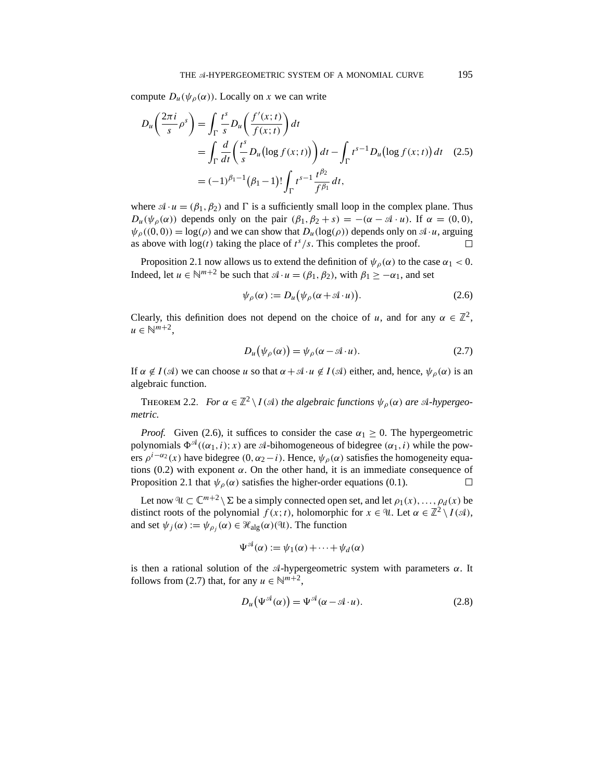compute  $D_u(\psi_\rho(\alpha))$ . Locally on x we can write

$$
D_{u}\left(\frac{2\pi i}{s}\rho^{s}\right) = \int_{\Gamma}\frac{t^{s}}{s}D_{u}\left(\frac{f'(x;t)}{f(x;t)}\right)dt
$$
  
= 
$$
\int_{\Gamma}\frac{d}{dt}\left(\frac{t^{s}}{s}D_{u}\left(\log f(x;t)\right)\right)dt - \int_{\Gamma}t^{s-1}D_{u}\left(\log f(x;t)\right)dt \quad (2.5)
$$
  
= 
$$
(-1)^{\beta_{1}-1}(\beta_{1}-1)!\int_{\Gamma}t^{s-1}\frac{t^{\beta_{2}}}{f^{\beta_{1}}}dt,
$$

where  $\mathcal{A} \cdot u = (\beta_1, \beta_2)$  and  $\Gamma$  is a sufficiently small loop in the complex plane. Thus  $D_u(\psi_o(\alpha))$  depends only on the pair  $(\beta_1, \beta_2 + s) = -(\alpha - s\mathcal{A} \cdot u)$ . If  $\alpha = (0,0)$ ,  $\psi_{\rho}((0,0)) = \log(\rho)$  and we can show that  $D_{\mu}(\log(\rho))$  depends only on  $\mathcal{A} \cdot \mathbf{u}$ , arguing as above with  $log(t)$  taking the place of  $t^s/s$ . This completes the proof.  $\Box$ 

Proposition 2.1 now allows us to extend the definition of  $\psi_{\rho}(\alpha)$  to the case  $\alpha_1 < 0$ . Indeed, let  $u \in \mathbb{N}^{m+2}$  be such that  $\mathcal{A} \cdot u = (\beta_1, \beta_2)$ , with  $\beta_1 \geq -\alpha_1$ , and set

$$
\psi_{\rho}(\alpha) := D_u(\psi_{\rho}(\alpha + \mathcal{A} \cdot u)). \tag{2.6}
$$

Clearly, this definition does not depend on the choice of u, and for any  $\alpha \in \mathbb{Z}^2$ ,  $u \in \mathbb{N}^{m+2}$ ,

$$
D_u(\psi_\rho(\alpha)) = \psi_\rho(\alpha - \mathcal{A} \cdot u). \tag{2.7}
$$

If  $\alpha \notin I(\mathcal{A})$  we can choose u so that  $\alpha + \mathcal{A} \cdot u \notin I(\mathcal{A})$  either, and, hence,  $\psi_{\rho}(\alpha)$  is an algebraic function.

THEOREM 2.2. *For*  $\alpha \in \mathbb{Z}^2 \setminus I(\mathcal{A})$  *the algebraic functions*  $\psi_{\alpha}(\alpha)$  *are*  $\mathcal{A}$ -*hypergeometric.*

*Proof.* Given (2.6), it suffices to consider the case  $\alpha_1 \geq 0$ . The hypergeometric polynomials  $\Phi^{\mathcal{A}}((\alpha_1,i);x)$  are  $\mathcal{A}$ -bihomogeneous of bidegree  $(\alpha_1,i)$  while the powers  $\rho^{i-\alpha_2}(x)$  have bidegree  $(0, \alpha_2 - i)$ . Hence,  $\psi_0(\alpha)$  satisfies the homogeneity equations (0.2) with exponent  $\alpha$ . On the other hand, it is an immediate consequence of Proposition 2.1 that  $\psi_{\rho}(\alpha)$  satisfies the higher-order equations (0.1).  $\Box$ 

Let now  $\mathcal{U} \subset \mathbb{C}^{m+2} \setminus \Sigma$  be a simply connected open set, and let  $\rho_1(x), \ldots, \rho_d(x)$  be distinct roots of the polynomial  $f(x; t)$ , holomorphic for  $x \in \mathcal{U}$ . Let  $\alpha \in \mathbb{Z}^2 \setminus I(\mathcal{A})$ , and set  $\psi_j(\alpha) := \psi_{\rho_j}(\alpha) \in \mathcal{H}_{\text{alg}}(\alpha)(\mathcal{U})$ . The function

$$
\Psi^{\mathcal{A}}(\alpha) := \psi_1(\alpha) + \cdots + \psi_d(\alpha)
$$

is then a rational solution of the  $\mathcal{A}$ -hypergeometric system with parameters  $\alpha$ . It follows from (2.7) that, for any  $u \in \mathbb{N}^{m+2}$ ,

$$
D_u(\Psi^{\mathcal{A}}(\alpha)) = \Psi^{\mathcal{A}}(\alpha - \mathcal{A} \cdot u). \tag{2.8}
$$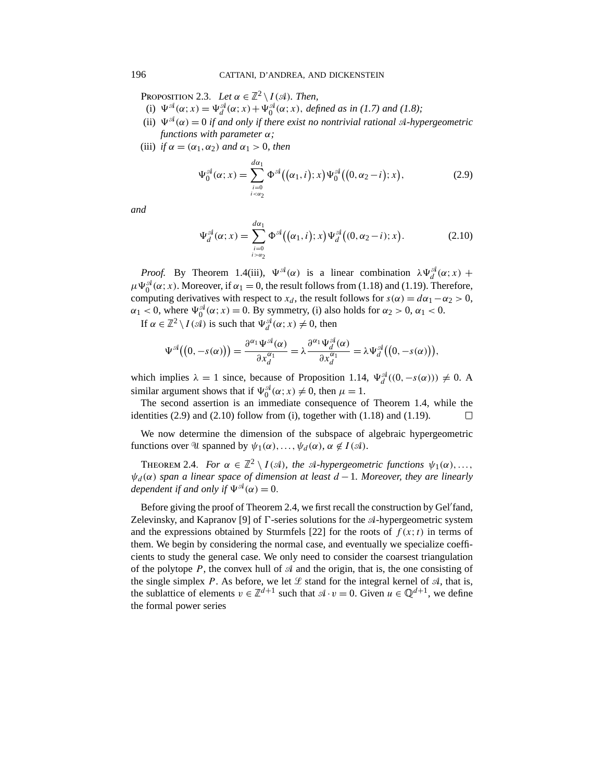PROPOSITION 2.3. *Let*  $\alpha \in \mathbb{Z}^2 \setminus I(\mathcal{A})$ *. Then,* 

- (i)  $\Psi^{\mathcal{A}}(\alpha; x) = \Psi^{\mathcal{A}}_{d}(\alpha; x) + \Psi^{\mathcal{A}}_{0}(\alpha; x), \text{ defined as in (1.7) and (1.8)};$
- (ii)  $\Psi^{\mathcal{A}}(\alpha) = 0$  *if and only if there exist no nontrivial rational*  $\mathcal{A}$ -*hypergeometric functions with parameter* α*;*

(iii) *if*  $\alpha = (\alpha_1, \alpha_2)$  *and*  $\alpha_1 > 0$ *, then* 

$$
\Psi_0^{\mathcal{A}}(\alpha; x) = \sum_{\substack{i=0 \\ i < \alpha_2}}^{d\alpha_1} \Phi^{\mathcal{A}}((\alpha_1, i); x) \Psi_0^{\mathcal{A}}((0, \alpha_2 - i); x), \tag{2.9}
$$

*and*

$$
\Psi_d^{\mathcal{A}}(\alpha; x) = \sum_{\substack{i=0 \ i> \alpha_2}}^{d\alpha_1} \Phi^{\mathcal{A}}\big((\alpha_1, i); x\big) \Psi_d^{\mathcal{A}}\big((0, \alpha_2 - i); x\big).
$$
 (2.10)

*Proof.* By Theorem 1.4(iii),  $\Psi^{\mathcal{A}}(\alpha)$  is a linear combination  $\lambda \Psi_d^{\mathcal{A}}(\alpha; x)$  +  $\mu \Psi_0^{\mathcal{A}}(\alpha; x)$ . Moreover, if  $\alpha_1 = 0$ , the result follows from (1.18) and (1.19). Therefore, computing derivatives with respect to  $x_d$ , the result follows for  $s(\alpha) = d\alpha_1 - \alpha_2 > 0$ ,  $\alpha_1 < 0$ , where  $\Psi_0^{\mathcal{A}}(\alpha; x) = 0$ . By symmetry, (i) also holds for  $\alpha_2 > 0$ ,  $\alpha_1 < 0$ .

If  $\alpha \in \mathbb{Z}^2 \setminus I(\mathcal{A})$  is such that  $\Psi_d^{\mathcal{A}}(\alpha; x) \neq 0$ , then

$$
\Psi^{\mathcal{A}}\big((0,-s(\alpha))\big)=\frac{\partial^{\alpha_1}\Psi^{\mathcal{A}}(\alpha)}{\partial x_d^{\alpha_1}}=\lambda\frac{\partial^{\alpha_1}\Psi^{\mathcal{A}}_d(\alpha)}{\partial x_d^{\alpha_1}}=\lambda\Psi^{\mathcal{A}}_d\big((0,-s(\alpha))\big),
$$

which implies  $\lambda = 1$  since, because of Proposition 1.14,  $\Psi_d^{\mathcal{A}}((0, -s(\alpha))) \neq 0$ . A similar argument shows that if  $\Psi_0^{\mathcal{A}}(\alpha; x) \neq 0$ , then  $\mu = 1$ .

The second assertion is an immediate consequence of Theorem 1.4, while the identities  $(2.9)$  and  $(2.10)$  follow from  $(i)$ , together with  $(1.18)$  and  $(1.19)$ .  $\Box$ 

We now determine the dimension of the subspace of algebraic hypergeometric functions over U spanned by  $\psi_1(\alpha), \ldots, \psi_d(\alpha), \alpha \notin I(\mathcal{A})$ .

THEOREM 2.4. *For*  $\alpha \in \mathbb{Z}^2 \setminus I(\mathcal{A})$ , the *A*-hypergeometric functions  $\psi_1(\alpha), \ldots$ ,  $\psi_d(\alpha)$  *span a linear space of dimension at least*  $d-1$ *. Moreover, they are linearly dependent if and only if*  $\Psi^{\mathcal{A}}(\alpha) = 0$ .

Before giving the proof of Theorem 2.4, we first recall the construction by Gel fand, Zelevinsky, and Kapranov [9] of  $\Gamma$ -series solutions for the  $\mathcal A$ -hypergeometric system and the expressions obtained by Sturmfels [22] for the roots of  $f(x; t)$  in terms of them. We begin by considering the normal case, and eventually we specialize coefficients to study the general case. We only need to consider the coarsest triangulation of the polytope  $P$ , the convex hull of  $A$  and the origin, that is, the one consisting of the single simplex P. As before, we let  $\mathcal L$  stand for the integral kernel of  $\mathcal A$ , that is, the sublattice of elements  $v \in \mathbb{Z}^{d+1}$  such that  $\mathcal{A} \cdot v = 0$ . Given  $u \in \mathbb{Q}^{d+1}$ , we define the formal power series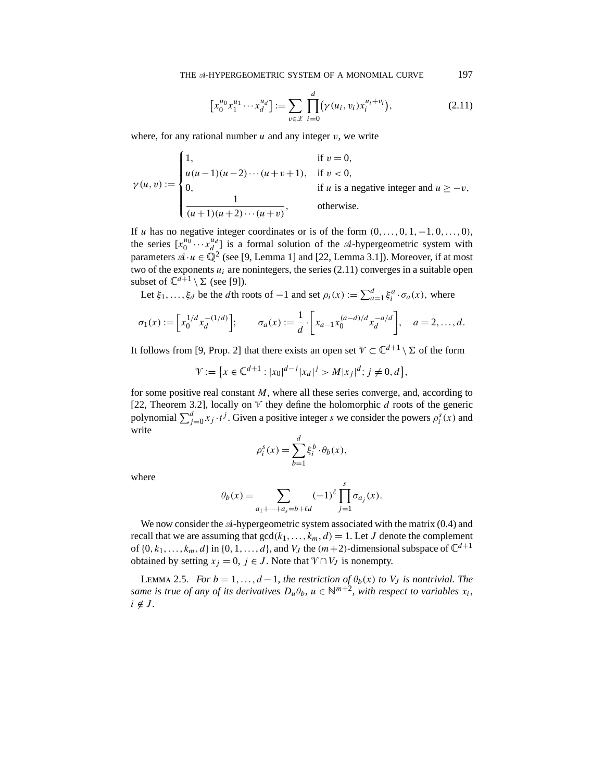$$
[x_0^{u_0} x_1^{u_1} \cdots x_d^{u_d}] := \sum_{v \in \mathcal{L}} \prod_{i=0}^d (\gamma(u_i, v_i) x_i^{u_i + v_i}), \tag{2.11}
$$

where, for any rational number  $u$  and any integer  $v$ , we write

$$
\gamma(u, v) := \begin{cases}\n1, & \text{if } v = 0, \\
u(u-1)(u-2)\cdots(u+v+1), & \text{if } v < 0, \\
0, & \text{if } u \text{ is a negative integer and } u \ge -v, \\
\frac{1}{(u+1)(u+2)\cdots(u+v)}, & \text{otherwise.} \n\end{cases}
$$

If u has no negative integer coordinates or is of the form  $(0, \ldots, 0, 1, -1, 0, \ldots, 0)$ , the series  $[x_0^{u_0} \cdots x_d^{u_d}]$  is a formal solution of the  $\mathcal{A}$ -hypergeometric system with parameters  $\mathcal{A} \cdot u \in \mathbb{Q}^2$  (see [9, Lemma 1] and [22, Lemma 3.1]). Moreover, if at most two of the exponents  $u_i$  are nonintegers, the series (2.11) converges in a suitable open subset of  $\mathbb{C}^{d+1} \setminus \Sigma$  (see [9]).

Let  $\xi_1, ..., \xi_d$  be the *d*th roots of  $-1$  and set  $\rho_i(x) := \sum_{a=1}^d \xi_i^a \cdot \sigma_a(x)$ , where

$$
\sigma_1(x) := \left[ x_0^{1/d} x_d^{-(1/d)} \right]; \qquad \sigma_a(x) := \frac{1}{d} \cdot \left[ x_{a-1} x_0^{(a-d)/d} x_d^{-a/d} \right], \quad a = 2, \dots, d.
$$

It follows from [9, Prop. 2] that there exists an open set  $\mathcal{V} \subset \mathbb{C}^{d+1} \setminus \Sigma$  of the form

$$
\mathcal{V} := \{ x \in \mathbb{C}^{d+1} : |x_0|^{d-j} |x_d|^j > M |x_j|^d; j \neq 0, d \},
$$

for some positive real constant  $M$ , where all these series converge, and, according to [22, Theorem 3.2], locally on  $\mathcal V$  they define the holomorphic  $d$  roots of the generic polynomial  $\sum_{j=0}^{d} x_j \cdot t^j$ . Given a positive integer s we consider the powers  $\rho_i^s(x)$  and write

$$
\rho_i^s(x) = \sum_{b=1}^d \xi_i^b \cdot \theta_b(x),
$$

where

$$
\theta_b(x) = \sum_{a_1 + \dots + a_s = b + \ell d} (-1)^{\ell} \prod_{j=1}^{s} \sigma_{a_j}(x).
$$

s

We now consider the  $\mathcal{A}$ -hypergeometric system associated with the matrix (0.4) and recall that we are assuming that  $gcd(k_1,...,k_m,d) = 1$ . Let J denote the complement of  $\{0, k_1, \ldots, k_m, d\}$  in  $\{0, 1, \ldots, d\}$ , and  $V_J$  the  $(m+2)$ -dimensional subspace of  $\mathbb{C}^{d+1}$ obtained by setting  $x_j = 0$ ,  $j \in J$ . Note that  $\mathcal{V} \cap V_J$  is nonempty.

LEMMA 2.5. *For*  $b = 1, ..., d - 1$ *, the restriction of*  $\theta_b(x)$  *to*  $V_J$  *is nontrivial. The same is true of any of its derivatives*  $D_u \theta_b$ ,  $u \in \mathbb{N}^{m+2}$ , with respect to variables  $x_i$ ,  $i \notin J$ .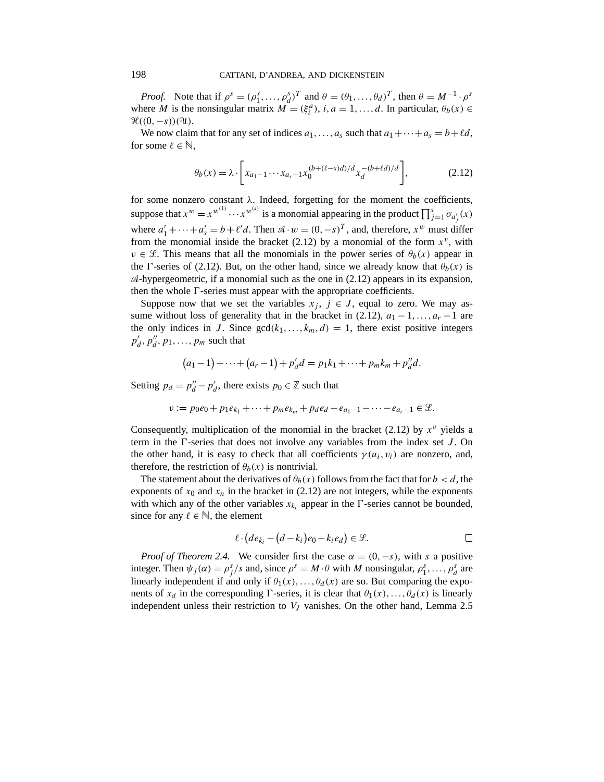*Proof.* Note that if  $\rho^s = (\rho_1^s, \dots, \rho_d^s)^T$  and  $\theta = (\theta_1, \dots, \theta_d)^T$ , then  $\theta = M^{-1} \cdot \rho^s$ where *M* is the nonsingular matrix  $M = (\xi_i^a)$ , i,  $a = 1, ..., d$ . In particular,  $\theta_b(x) \in$  $\mathscr{H}((0,-s))$ (U).

We now claim that for any set of indices  $a_1, \ldots, a_s$  such that  $a_1 + \cdots + a_s = b + \ell d$ , for some  $\ell \in \mathbb{N}$ ,

$$
\theta_b(x) = \lambda \cdot \left[ x_{a_1 - 1} \cdots x_{a_s - 1} x_0^{(b + (\ell - s)d)/d} x_d^{-(b + \ell d)/d} \right],\tag{2.12}
$$

for some nonzero constant  $\lambda$ . Indeed, forgetting for the moment the coefficients, suppose that  $x^w = x^{w^{(1)}} \cdots x^{w^{(s)}}$  is a monomial appearing in the product  $\prod_{j=1}^s \sigma_{a'_j}(x)$ where  $a'_1 + \cdots + a'_s = b + \ell' d$ . Then  $\mathcal{A} \cdot w = (0, -s)^T$ , and, therefore,  $x^w$  must differ from the monomial inside the bracket (2.12) by a monomial of the form  $x^v$ , with  $v \in \mathcal{L}$ . This means that all the monomials in the power series of  $\theta_b(x)$  appear in the  $\Gamma$ -series of (2.12). But, on the other hand, since we already know that  $\theta_b(x)$  is  $\mathcal{A}$ -hypergeometric, if a monomial such as the one in (2.12) appears in its expansion, then the whole  $\Gamma$ -series must appear with the appropriate coefficients.

Suppose now that we set the variables  $x_j$ ,  $j \in J$ , equal to zero. We may assume without loss of generality that in the bracket in (2.12),  $a_1 - 1, \ldots, a_r - 1$  are the only indices in J. Since  $gcd(k_1,...,k_m,d) = 1$ , there exist positive integers  $p'_d, p''_d, p_1, \ldots, p_m$  such that

$$
(a_1-1)+\cdots+(a_r-1)+p'_d=1+2r_1+\cdots+p_mk_m+p''_d.
$$

Setting  $p_d = p''_d - p'_d$ , there exists  $p_0 \in \mathbb{Z}$  such that

$$
v := p_0 e_0 + p_1 e_{k_1} + \dots + p_m e_{k_m} + p_d e_d - e_{a_1 - 1} - \dots - e_{a_r - 1} \in \mathcal{L}.
$$

Consequently, multiplication of the monomial in the bracket (2.12) by  $x^v$  yields a term in the  $\Gamma$ -series that does not involve any variables from the index set  $J$ . On the other hand, it is easy to check that all coefficients  $\gamma(u_i, v_i)$  are nonzero, and, therefore, the restriction of  $\theta_b(x)$  is nontrivial.

The statement about the derivatives of  $\theta_b(x)$  follows from the fact that for  $b < d$ , the exponents of  $x_0$  and  $x_n$  in the bracket in (2.12) are not integers, while the exponents with which any of the other variables  $x_{k_i}$  appear in the  $\Gamma$ -series cannot be bounded, since for any  $\ell \in \mathbb{N}$ , the element

$$
\ell \cdot (de_{k_i} - (d - k_i)e_0 - k_i e_d) \in \mathcal{L}.
$$

*Proof of Theorem 2.4.* We consider first the case  $\alpha = (0, -s)$ , with s a positive integer. Then  $\psi_j(\alpha) = \rho_j^s/s$  and, since  $\rho^s = M \cdot \theta$  with M nonsingular,  $\rho_1^s, \dots, \rho_d^s$  are linearly independent if and only if  $\theta_1(x), \ldots, \theta_d(x)$  are so. But comparing the exponents of  $x_d$  in the corresponding  $\Gamma$ -series, it is clear that  $\theta_1(x), \ldots, \theta_d(x)$  is linearly independent unless their restriction to  $V_J$  vanishes. On the other hand, Lemma 2.5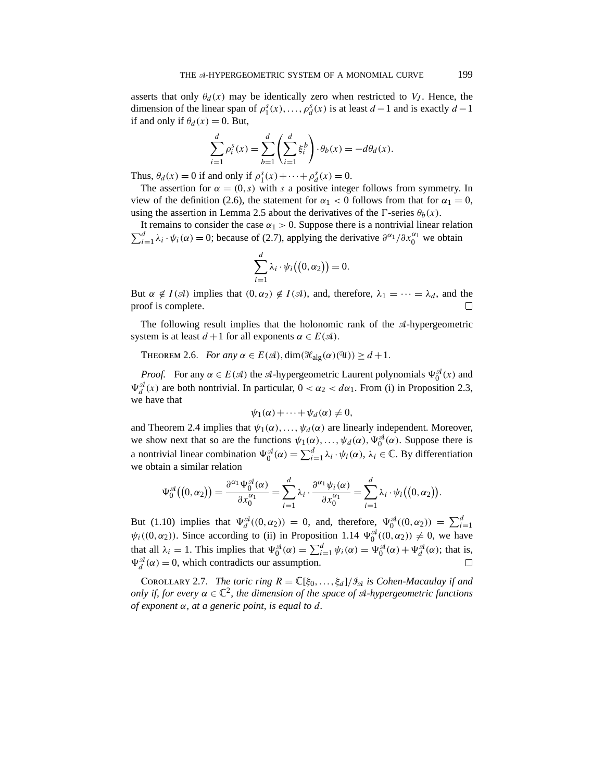asserts that only  $\theta_d(x)$  may be identically zero when restricted to  $V_J$ . Hence, the dimension of the linear span of  $\rho_1^s(x), \ldots, \rho_d^s(x)$  is at least  $d-1$  and is exactly  $d-1$ if and only if  $\theta_d(x) = 0$ . But,

$$
\sum_{i=1}^d \rho_i^s(x) = \sum_{b=1}^d \left( \sum_{i=1}^d \xi_i^b \right) \cdot \theta_b(x) = -d\theta_d(x).
$$

Thus,  $\theta_d(x) = 0$  if and only if  $\rho_1^s(x) + \cdots + \rho_d^s(x) = 0$ .

The assertion for  $\alpha = (0, s)$  with s a positive integer follows from symmetry. In view of the definition (2.6), the statement for  $\alpha_1 < 0$  follows from that for  $\alpha_1 = 0$ , using the assertion in Lemma 2.5 about the derivatives of the  $\Gamma$ -series  $\theta_b(x)$ .

It remains to consider the case  $\alpha_1 > 0$ . Suppose there is a nontrivial linear relation  $\sum_{i=1}^{d} \lambda_i \cdot \psi_i(\alpha) = 0$ ; because of (2.7), applying the derivative  $\partial^{\alpha_1}/\partial x_0^{\alpha_1}$  we obtain

$$
\sum_{i=1}^d \lambda_i \cdot \psi_i((0,\alpha_2)) = 0.
$$

But  $\alpha \notin I(\mathcal{A})$  implies that  $(0, \alpha_2) \notin I(\mathcal{A})$ , and, therefore,  $\lambda_1 = \cdots = \lambda_d$ , and the proof is complete.  $\Box$ 

The following result implies that the holonomic rank of the  $A$ -hypergeometric system is at least  $d + 1$  for all exponents  $\alpha \in E(\mathcal{A})$ .

THEOREM 2.6. *For any*  $\alpha \in E(\mathcal{A})$ , dim $(\mathcal{H}_{\text{alg}}(\alpha)(\mathcal{U})) \geq d+1$ .

*Proof.* For any  $\alpha \in E(\mathcal{A})$  the  $\mathcal{A}$ -hypergeometric Laurent polynomials  $\Psi_0^{\mathcal{A}}(x)$  and  $\Psi_d^{\mathcal{A}}(x)$  are both nontrivial. In particular,  $0 < \alpha_2 < d\alpha_1$ . From (i) in Proposition 2.3, we have that

$$
\psi_1(\alpha) + \cdots + \psi_d(\alpha) \neq 0,
$$

and Theorem 2.4 implies that  $\psi_1(\alpha), \dots, \psi_d(\alpha)$  are linearly independent. Moreover, we show next that so are the functions  $\psi_1(\alpha), \dots, \psi_d(\alpha), \Psi_0^{\mathcal{A}}(\alpha)$ . Suppose there is a nontrivial linear combination  $\Psi_0^{\mathcal{A}}(\alpha) = \sum_{i=1}^d \lambda_i \cdot \psi_i(\alpha)$ ,  $\lambda_i \in \mathbb{C}$ . By differentiation we obtain a similar relation

$$
\Psi_0^{\mathfrak{A}}\big( (0,\alpha_2) \big) = \frac{\partial^{\alpha_1} \Psi_0^{\mathfrak{A}}(\alpha)}{\partial x_0^{\alpha_1}} = \sum_{i=1}^d \lambda_i \cdot \frac{\partial^{\alpha_1} \psi_i(\alpha)}{\partial x_0^{\alpha_1}} = \sum_{i=1}^d \lambda_i \cdot \psi_i \big( (0,\alpha_2) \big).
$$

But (1.10) implies that  $\Psi_d^{\mathcal{A}}((0,\alpha_2)) = 0$ , and, therefore,  $\Psi_0^{\mathcal{A}}((0,\alpha_2)) = \sum_{i=1}^d$  $\psi_i((0, \alpha_2))$ . Since according to (ii) in Proposition 1.14  $\Psi_0^{\mathcal{A}}((0, \alpha_2)) \neq 0$ , we have that all  $\lambda_i = 1$ . This implies that  $\Psi_0^{\mathcal{A}}(\alpha) = \sum_{i=1}^d \psi_i(\alpha) = \Psi_0^{\mathcal{A}}(\alpha) + \Psi_d^{\mathcal{A}}(\alpha)$ ; that is,  $\Psi_d^{\mathcal{A}}(\alpha) = 0$ , which contradicts our assumption.  $\Box$ 

COROLLARY 2.7. *The toric ring*  $R = \mathbb{C}[\xi_0, \ldots, \xi_d]/\mathcal{I}_{\mathcal{A}}$  *is Cohen-Macaulay if and only if, for every*  $\alpha \in \mathbb{C}^2$ , the dimension of the space of A-hypergeometric functions *of exponent* α*, at a generic point, is equal to* d*.*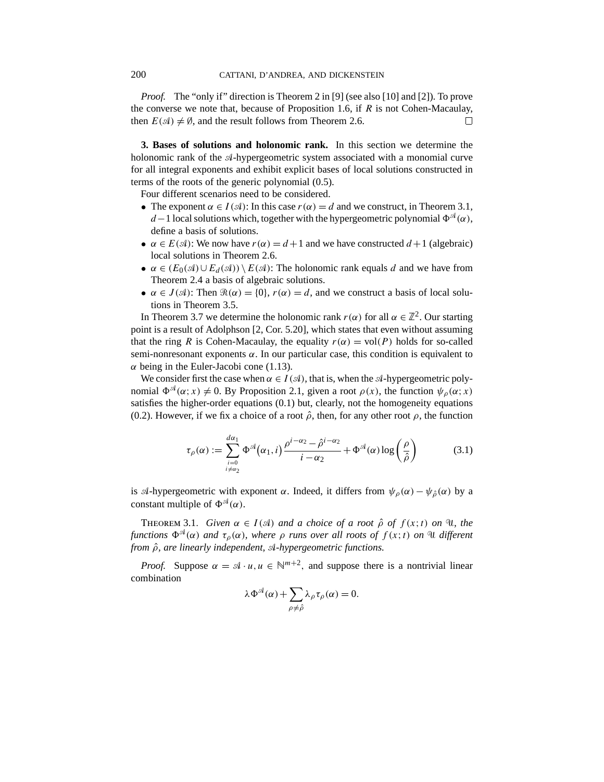*Proof.* The "only if" direction is Theorem 2 in [9] (see also [10] and [2]). To prove the converse we note that, because of Proposition 1.6, if  $R$  is not Cohen-Macaulay, then  $E(\mathcal{A}) \neq \emptyset$ , and the result follows from Theorem 2.6.  $\Box$ 

**3. Bases of solutions and holonomic rank.** In this section we determine the holonomic rank of the  $A$ -hypergeometric system associated with a monomial curve for all integral exponents and exhibit explicit bases of local solutions constructed in terms of the roots of the generic polynomial (0.5).

Four different scenarios need to be considered.

- The exponent  $\alpha \in I(\mathcal{A})$ : In this case  $r(\alpha) = d$  and we construct, in Theorem 3.1, d – 1 local solutions which, together with the hypergeometric polynomial  $\Phi^{\mathcal{A}}(\alpha)$ , define a basis of solutions.
- $\alpha \in E(\mathcal{A})$ : We now have  $r(\alpha) = d+1$  and we have constructed  $d+1$  (algebraic) local solutions in Theorem 2.6.
- $\alpha \in (E_0(\mathcal{A}) \cup E_d(\mathcal{A})) \setminus E(\mathcal{A})$ : The holonomic rank equals d and we have from Theorem 2.4 a basis of algebraic solutions.
- $\alpha \in J(\mathcal{A})$ : Then  $\mathcal{R}(\alpha) = \{0\}$ ,  $r(\alpha) = d$ , and we construct a basis of local solutions in Theorem 3.5.

In Theorem 3.7 we determine the holonomic rank  $r(\alpha)$  for all  $\alpha \in \mathbb{Z}^2$ . Our starting point is a result of Adolphson [2, Cor. 5.20], which states that even without assuming that the ring R is Cohen-Macaulay, the equality  $r(\alpha) = vol(P)$  holds for so-called semi-nonresonant exponents  $\alpha$ . In our particular case, this condition is equivalent to  $\alpha$  being in the Euler-Jacobi cone (1.13).

We consider first the case when  $\alpha \in I(\mathcal{A})$ , that is, when the  $\mathcal{A}$ -hypergeometric polynomial  $\Phi^{\mathcal{A}}(\alpha; x) \neq 0$ . By Proposition 2.1, given a root  $\rho(x)$ , the function  $\psi_{\rho}(\alpha; x)$ satisfies the higher-order equations (0.1) but, clearly, not the homogeneity equations (0.2). However, if we fix a choice of a root  $\hat{\rho}$ , then, for any other root  $\rho$ , the function

$$
\tau_{\rho}(\alpha) := \sum_{\substack{i=0 \ i \neq \alpha_2}}^{\alpha_1} \Phi^{\mathfrak{A}}(\alpha_1, i) \frac{\rho^{i-\alpha_2} - \hat{\rho}^{i-\alpha_2}}{i-\alpha_2} + \Phi^{\mathfrak{A}}(\alpha) \log\left(\frac{\rho}{\hat{\rho}}\right)
$$
(3.1)

is  $\mathcal{A}$ -hypergeometric with exponent  $\alpha$ . Indeed, it differs from  $\psi_{\rho}(\alpha) - \psi_{\hat{\rho}}(\alpha)$  by a constant multiple of  $\Phi^{\mathcal{A}}(\alpha)$ .

**THEOREM 3.1.** *Given*  $\alpha \in I(\mathcal{A})$  *and a choice of a root*  $\hat{\rho}$  *of*  $f(x;t)$  *on*  $\mathcal{A}$ *, the functions*  $\Phi^{\mathfrak{A}}(\alpha)$  *and*  $\tau_{\rho}(\alpha)$ *, where*  $\rho$  *runs over all roots of*  $f(x;t)$  *on*  $\mathfrak{A}$  *different from* ρˆ*, are linearly independent, -hypergeometric functions.*

*Proof.* Suppose  $\alpha = \mathcal{A} \cdot u, u \in \mathbb{N}^{m+2}$ , and suppose there is a nontrivial linear combination

$$
\lambda \Phi^{\mathfrak{A}}(\alpha) + \sum_{\rho \neq \hat{\rho}} \lambda_{\rho} \tau_{\rho}(\alpha) = 0.
$$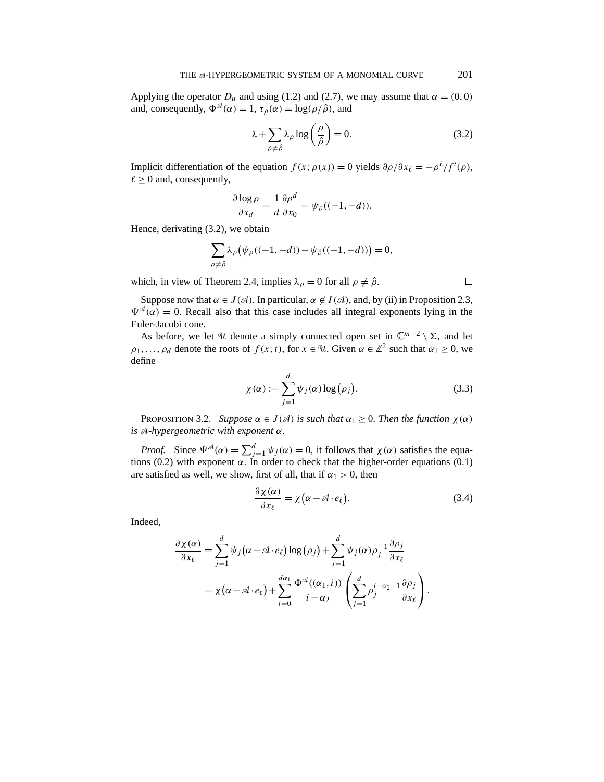Applying the operator  $D_u$  and using (1.2) and (2.7), we may assume that  $\alpha = (0,0)$ and, consequently,  $\Phi^{\mathcal{A}}(\alpha) = 1$ ,  $\tau_{\rho}(\alpha) = \log(\rho/\hat{\rho})$ , and

$$
\lambda + \sum_{\rho \neq \hat{\rho}} \lambda_{\rho} \log \left( \frac{\rho}{\hat{\rho}} \right) = 0. \tag{3.2}
$$

Implicit differentiation of the equation  $f(x; \rho(x)) = 0$  yields  $\partial \rho / \partial x_{\ell} = -\rho^{\ell} / f'(\rho)$ ,  $\ell \geq 0$  and, consequently,

$$
\frac{\partial \log \rho}{\partial x_d} = \frac{1}{d} \frac{\partial \rho^d}{\partial x_0} = \psi_\rho((-1, -d)).
$$

Hence, derivating (3.2), we obtain

$$
\sum_{\rho \neq \hat{\rho}} \lambda_{\rho} \big( \psi_{\rho}((-1, -d)) - \psi_{\hat{\rho}}((-1, -d)) \big) = 0,
$$

which, in view of Theorem 2.4, implies  $\lambda_{\rho} = 0$  for all  $\rho \neq \hat{\rho}$ .

Suppose now that  $\alpha \in J(\mathcal{A})$ . In particular,  $\alpha \notin I(\mathcal{A})$ , and, by (ii) in Proposition 2.3,  $\Psi^{\mathcal{A}}(\alpha) = 0$ . Recall also that this case includes all integral exponents lying in the Euler-Jacobi cone.

As before, we let  $\mathcal{U}$  denote a simply connected open set in  $\mathbb{C}^{m+2} \setminus \Sigma$ , and let  $\rho_1, \ldots, \rho_d$  denote the roots of  $f(x; t)$ , for  $x \in \mathcal{U}$ . Given  $\alpha \in \mathbb{Z}^2$  such that  $\alpha_1 \geq 0$ , we define

$$
\chi(\alpha) := \sum_{j=1}^{d} \psi_j(\alpha) \log(\rho_j).
$$
 (3.3)

 $\Box$ 

PROPOSITION 3.2. *Suppose*  $\alpha \in J(\mathcal{A})$  *is such that*  $\alpha_1 \geq 0$ *. Then the function*  $\chi(\alpha)$ *is -hypergeometric with exponent* α*.*

*Proof.* Since  $\Psi^{\mathcal{A}}(\alpha) = \sum_{j=1}^{d} \psi_j(\alpha) = 0$ , it follows that  $\chi(\alpha)$  satisfies the equations (0.2) with exponent  $\alpha$ . In order to check that the higher-order equations (0.1) are satisfied as well, we show, first of all, that if  $\alpha_1 > 0$ , then

$$
\frac{\partial \chi(\alpha)}{\partial x_{\ell}} = \chi(\alpha - \mathcal{A} \cdot e_{\ell}).
$$
\n(3.4)

Indeed,

$$
\frac{\partial \chi(\alpha)}{\partial x_{\ell}} = \sum_{j=1}^{d} \psi_{j} (\alpha - \mathcal{A} \cdot e_{\ell}) \log (\rho_{j}) + \sum_{j=1}^{d} \psi_{j} (\alpha) \rho_{j}^{-1} \frac{\partial \rho_{j}}{\partial x_{\ell}}
$$

$$
= \chi (\alpha - \mathcal{A} \cdot e_{\ell}) + \sum_{i=0}^{d \alpha_{1}} \frac{\Phi^{\mathcal{A}}((\alpha_{1}, i))}{i - \alpha_{2}} \left( \sum_{j=1}^{d} \rho_{j}^{i - \alpha_{2} - 1} \frac{\partial \rho_{j}}{\partial x_{\ell}} \right).
$$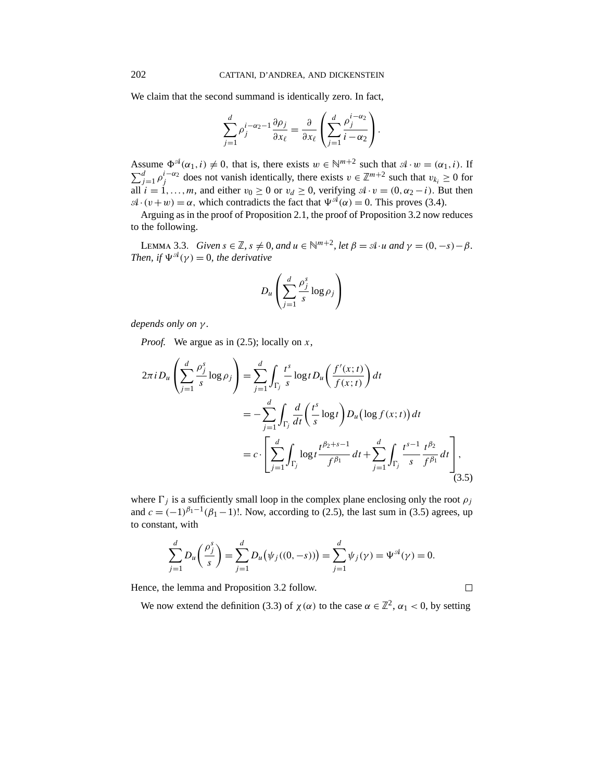We claim that the second summand is identically zero. In fact,

$$
\sum_{j=1}^d \rho_j^{i-\alpha_2-1} \frac{\partial \rho_j}{\partial x_\ell} = \frac{\partial}{\partial x_\ell} \left( \sum_{j=1}^d \frac{\rho_j^{i-\alpha_2}}{i-\alpha_2} \right).
$$

Assume  $\Phi^{\mathcal{A}}(\alpha_1,i) \neq 0$ , that is, there exists  $w \in \mathbb{N}^{m+2}$  such that  $\mathcal{A} \cdot w = (\alpha_1,i)$ . If  $\sum_{j=1}^d \rho_j^{i-\alpha_2}$  does not vanish identically, there exists  $v \in \mathbb{Z}^{m+2}$  such that  $v_{k_i} \geq 0$  for all  $i = 1, ..., m$ , and either  $v_0 \ge 0$  or  $v_d \ge 0$ , verifying  $\mathcal{A} \cdot v = (0, \alpha_2 - i)$ . But then  $\mathcal{A} \cdot (v+w) = \alpha$ , which contradicts the fact that  $\Psi^{\mathcal{A}}(\alpha) = 0$ . This proves (3.4).

Arguing as in the proof of Proposition 2.1, the proof of Proposition 3.2 now reduces to the following.

LEMMA 3.3. *Given*  $s \in \mathbb{Z}$ ,  $s \neq 0$ , and  $u \in \mathbb{N}^{m+2}$ , let  $\beta = \mathcal{A} \cdot u$  and  $\gamma = (0, -s) - \beta$ . *Then, if*  $\Psi^{\mathcal{A}}(\gamma) = 0$ *, the derivative* 

$$
D_u \left( \sum_{j=1}^d \frac{\rho_j^s}{s} \log \rho_j \right)
$$

*depends only on* γ *.*

*Proof.* We argue as in  $(2.5)$ ; locally on x,

$$
2\pi i D_u \left( \sum_{j=1}^d \frac{\rho_j^s}{s} \log \rho_j \right) = \sum_{j=1}^d \int_{\Gamma_j} \frac{t^s}{s} \log t D_u \left( \frac{f'(x;t)}{f(x;t)} \right) dt
$$
  

$$
= -\sum_{j=1}^d \int_{\Gamma_j} \frac{d}{dt} \left( \frac{t^s}{s} \log t \right) D_u \left( \log f(x;t) \right) dt
$$
  

$$
= c \cdot \left[ \sum_{j=1}^d \int_{\Gamma_j} \log t \frac{t^{\beta_2+s-1}}{f^{\beta_1}} dt + \sum_{j=1}^d \int_{\Gamma_j} \frac{t^{s-1}}{s} \frac{t^{\beta_2}}{f^{\beta_1}} dt \right],
$$
(3.5)

where  $\Gamma_j$  is a sufficiently small loop in the complex plane enclosing only the root  $\rho_j$ and  $c = (-1)^{\beta_1-1}(\beta_1-1)!$ . Now, according to (2.5), the last sum in (3.5) agrees, up to constant, with

$$
\sum_{j=1}^{d} D_u \left( \frac{\rho_j^s}{s} \right) = \sum_{j=1}^{d} D_u \left( \psi_j((0, -s)) \right) = \sum_{j=1}^{d} \psi_j(\gamma) = \Psi^{\mathfrak{A}}(\gamma) = 0.
$$

Hence, the lemma and Proposition 3.2 follow.

We now extend the definition (3.3) of  $\chi(\alpha)$  to the case  $\alpha \in \mathbb{Z}^2$ ,  $\alpha_1 < 0$ , by setting

 $\Box$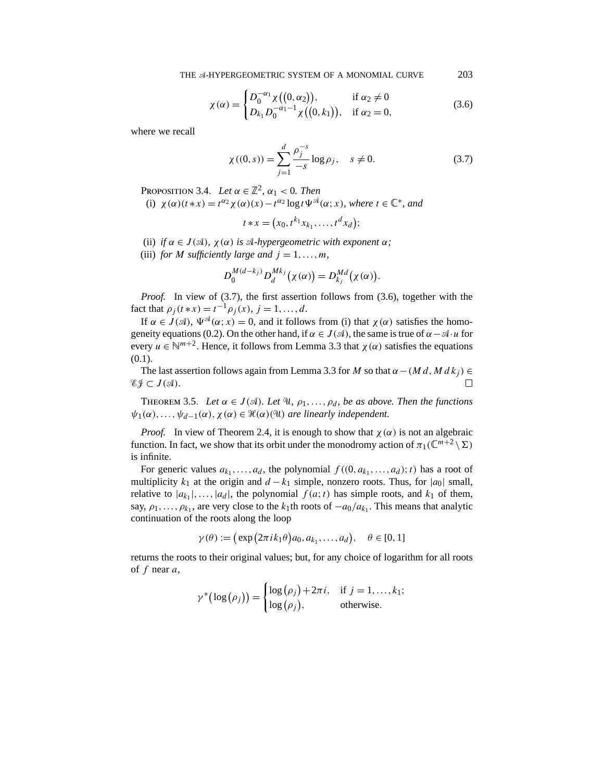$$
\chi(\alpha) = \begin{cases} D_0^{-\alpha_1} \chi((0, \alpha_2)), & \text{if } \alpha_2 \neq 0 \\ D_{k_1} D_0^{-\alpha_1 - 1} \chi((0, k_1)), & \text{if } \alpha_2 = 0, \end{cases}
$$
(3.6)

where we recall

$$
\chi((0,s)) = \sum_{j=1}^{d} \frac{\rho_j^{-s}}{-s} \log \rho_j, \quad s \neq 0.
$$
 (3.7)

PROPOSITION 3.4. *Let*  $\alpha \in \mathbb{Z}^2$ ,  $\alpha_1 < 0$ . *Then* 

(i)  $\chi(\alpha)(t * x) = t^{\alpha_2} \chi(\alpha)(x) - t^{\alpha_2} \log t \Psi^{\mathcal{A}}(\alpha; x)$ *, where*  $t \in \mathbb{C}^*$ *, and* 

$$
t * x = (x_0, t^{k_1} x_{k_1}, \dots, t^d x_d);
$$

- (ii) *if*  $\alpha \in J(\mathcal{A})$ ,  $\chi(\alpha)$  *is*  $\mathcal{A}$ -*hypergeometric with exponent*  $\alpha$ ;
- (iii) *for M sufficiently large and*  $j = 1, \ldots, m$ *,*

$$
D_0^{M(d-k_j)}D_d^{Mk_j}(\chi(\alpha))=D_{k_j}^{Md}(\chi(\alpha)).
$$

*Proof.* In view of  $(3.7)$ , the first assertion follows from  $(3.6)$ , together with the fact that  $\rho_i(t * x) = t^{-1} \rho_i(x), j = 1, ..., d$ .

If  $\alpha \in J(\mathcal{A}), \Psi^{\mathcal{A}}(\alpha; x) = 0$ , and it follows from (i) that  $\chi(\alpha)$  satisfies the homogeneity equations (0.2). On the other hand, if  $\alpha \in J(\mathcal{A})$ , the same is true of  $\alpha - \mathcal{A} \cdot u$  for every  $u \in \mathbb{N}^{m+2}$ . Hence, it follows from Lemma 3.3 that  $\chi(\alpha)$  satisfies the equations  $(0.1)$ .

The last assertion follows again from Lemma 3.3 for M so that  $\alpha-(Md,Md k_i) \in$  $\mathscr{E} \mathscr{J} \subset J(\mathscr{A}).$  $\Box$ 

**THEOREM** 3.5. Let  $\alpha \in J(\mathcal{A})$ . Let  $\mathcal{A}$ ,  $\rho_1, \ldots, \rho_d$ , be as above. Then the functions  $\psi_1(\alpha), \ldots, \psi_{d-1}(\alpha), \chi(\alpha) \in \mathcal{H}(\alpha)$  *are linearly independent.* 

*Proof.* In view of Theorem 2.4, it is enough to show that  $\chi(\alpha)$  is not an algebraic function. In fact, we show that its orbit under the monodromy action of  $\pi_1(\mathbb{C}^{m+2} \setminus \Sigma)$ is infinite.

For generic values  $a_{k_1},...,a_d$ , the polynomial  $f((0, a_{k_1},...,a_d);t)$  has a root of multiplicity  $k_1$  at the origin and  $d - k_1$  simple, nonzero roots. Thus, for  $|a_0|$  small, relative to  $|a_{k_1}|, \ldots, |a_d|$ , the polynomial  $f(a; t)$  has simple roots, and  $k_1$  of them, say,  $\rho_1, \ldots, \rho_{k_1}$ , are very close to the  $k_1$ th roots of  $-a_0/a_{k_1}$ . This means that analytic continuation of the roots along the loop

$$
\gamma(\theta) := (\exp(2\pi i k_1 \theta) a_0, a_{k_1}, \dots, a_d), \quad \theta \in [0, 1]
$$

returns the roots to their original values; but, for any choice of logarithm for all roots of  $f$  near  $a$ ,

$$
\gamma^*(\log(\rho_j)) = \begin{cases} \log(\rho_j) + 2\pi i, & \text{if } j = 1, ..., k_1; \\ \log(\rho_j), & \text{otherwise.} \end{cases}
$$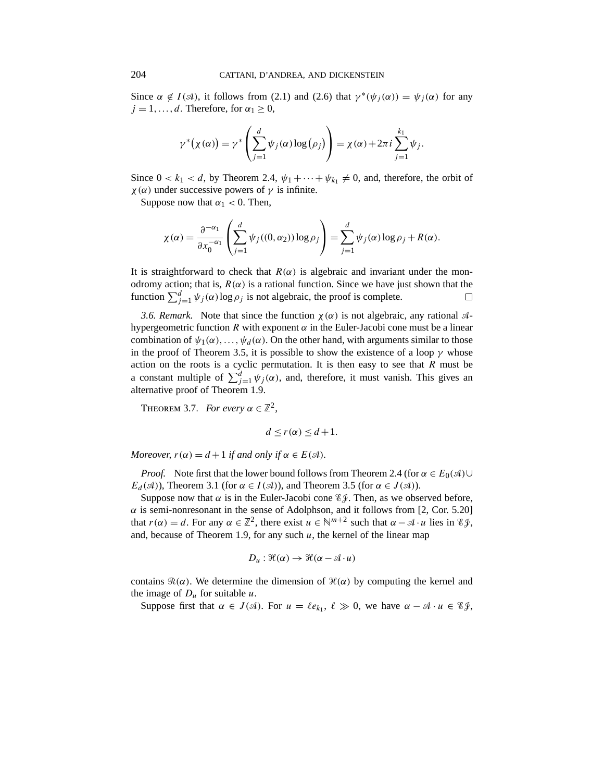Since  $\alpha \notin I(\mathcal{A})$ , it follows from (2.1) and (2.6) that  $\gamma^*(\psi_j(\alpha)) = \psi_j(\alpha)$  for any  $j = 1, \ldots, d$ . Therefore, for  $\alpha_1 \geq 0$ ,

$$
\gamma^*(\chi(\alpha)) = \gamma^* \left( \sum_{j=1}^d \psi_j(\alpha) \log(\rho_j) \right) = \chi(\alpha) + 2\pi i \sum_{j=1}^{k_1} \psi_j.
$$

Since  $0 < k_1 < d$ , by Theorem 2.4,  $\psi_1 + \cdots + \psi_{k_1} \neq 0$ , and, therefore, the orbit of  $\chi(\alpha)$  under successive powers of  $\gamma$  is infinite.

Suppose now that  $\alpha_1 < 0$ . Then,

$$
\chi(\alpha) = \frac{\partial^{-\alpha_1}}{\partial x_0^{-\alpha_1}} \left( \sum_{j=1}^d \psi_j((0, \alpha_2)) \log \rho_j \right) = \sum_{j=1}^d \psi_j(\alpha) \log \rho_j + R(\alpha).
$$

It is straightforward to check that  $R(\alpha)$  is algebraic and invariant under the monodromy action; that is,  $R(\alpha)$  is a rational function. Since we have just shown that the function  $\sum_{j=1}^{d} \psi_j(\alpha) \log \rho_j$  is not algebraic, the proof is complete.  $\Box$ 

*3.6. Remark.* Note that since the function  $\chi(\alpha)$  is not algebraic, any rational  $\mathcal{A}$ hypergeometric function R with exponent  $\alpha$  in the Euler-Jacobi cone must be a linear combination of  $\psi_1(\alpha), \ldots, \psi_d(\alpha)$ . On the other hand, with arguments similar to those in the proof of Theorem 3.5, it is possible to show the existence of a loop  $\gamma$  whose action on the roots is a cyclic permutation. It is then easy to see that  $R$  must be a constant multiple of  $\sum_{j=1}^{d} \psi_j(\alpha)$ , and, therefore, it must vanish. This gives an alternative proof of Theorem 1.9.

THEOREM 3.7. *For every*  $\alpha \in \mathbb{Z}^2$ ,

$$
d \le r(\alpha) \le d+1.
$$

*Moreover,*  $r(\alpha) = d + 1$  *if and only if*  $\alpha \in E(\mathcal{A})$ *.* 

*Proof.* Note first that the lower bound follows from Theorem 2.4 (for  $\alpha \in E_0(\mathcal{A})\cup$  $E_d(\mathcal{A})$ ), Theorem 3.1 (for  $\alpha \in I(\mathcal{A})$ ), and Theorem 3.5 (for  $\alpha \in J(\mathcal{A})$ ).

Suppose now that  $\alpha$  is in the Euler-Jacobi cone  $\mathscr{E} \mathscr{F}$ . Then, as we observed before,  $\alpha$  is semi-nonresonant in the sense of Adolphson, and it follows from [2, Cor. 5.20] that  $r(\alpha) = d$ . For any  $\alpha \in \mathbb{Z}^2$ , there exist  $u \in \mathbb{N}^{m+2}$  such that  $\alpha - \mathcal{A} \cdot u$  lies in  $\mathcal{L} \mathcal{F}$ , and, because of Theorem 1.9, for any such  $u$ , the kernel of the linear map

$$
D_u:\mathcal{H}(\alpha)\to\mathcal{H}(\alpha-\mathcal{A}\cdot u)
$$

contains  $\Re(\alpha)$ . We determine the dimension of  $\Re(\alpha)$  by computing the kernel and the image of  $D_u$  for suitable u.

Suppose first that  $\alpha \in J(\mathcal{A})$ . For  $u = \ell e_{k_1}, \ell \gg 0$ , we have  $\alpha - \mathcal{A} \cdot u \in \mathcal{E} \mathcal{F}$ ,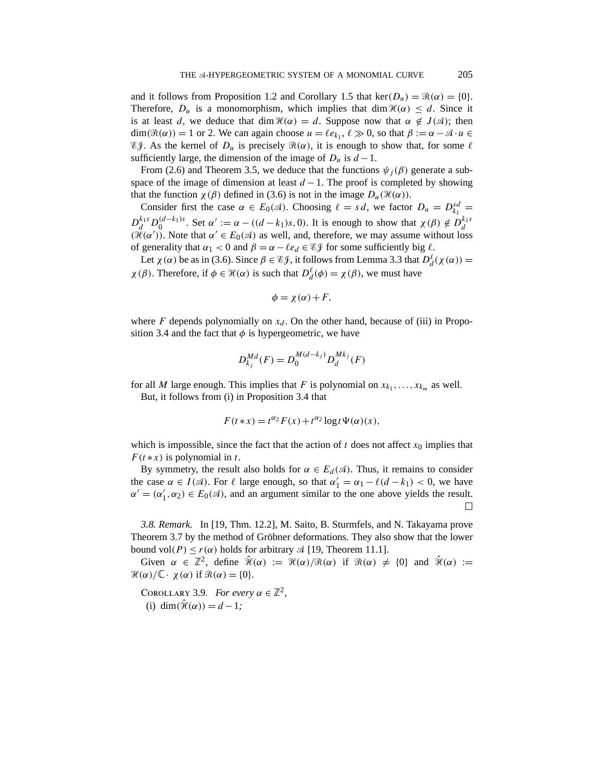and it follows from Proposition 1.2 and Corollary 1.5 that  $\text{ker}(D_u) = \mathcal{R}(\alpha) = \{0\}.$ Therefore,  $D_u$  is a monomorphism, which implies that dim  $\mathcal{H}(\alpha) \leq d$ . Since it is at least d, we deduce that dim  $\mathcal{H}(\alpha) = d$ . Suppose now that  $\alpha \notin J(\mathcal{A})$ ; then  $\dim(\mathcal{R}(\alpha)) = 1$  or 2. We can again choose  $u = \ell e_{k_1}, \ell \gg 0$ , so that  $\beta := \alpha - \mathcal{A} \cdot u \in$  $\mathscr{E} \mathscr{F}$ . As the kernel of  $D_u$  is precisely  $\mathscr{R}(\alpha)$ , it is enough to show that, for some  $\ell$ sufficiently large, the dimension of the image of  $D_u$  is  $d-1$ .

From (2.6) and Theorem 3.5, we deduce that the functions  $\psi_i(\beta)$  generate a subspace of the image of dimension at least  $d-1$ . The proof is completed by showing that the function  $\chi(\beta)$  defined in (3.6) is not in the image  $D_u(\mathcal{H}(\alpha))$ .

Consider first the case  $\alpha \in E_0(\mathcal{A})$ . Choosing  $\ell = sd$ , we factor  $D_u = D_{k_1}^{sd} =$  $D_d^{k_1s} D_0^{(d-k_1)s}$ . Set  $\alpha' := \alpha - ((d-k_1)s, 0)$ . It is enough to show that  $\chi(\beta) \notin D_d^{k_1s}$  $(\mathcal{H}(\alpha'))$ . Note that  $\alpha' \in E_0(\mathcal{A})$  as well, and, therefore, we may assume without loss of generality that  $\alpha_1 < 0$  and  $\beta = \alpha - \ell e_d \in \mathcal{E} \mathcal{F}$  for some sufficiently big  $\ell$ .

Let  $\chi(\alpha)$  be as in (3.6). Since  $\beta \in \mathcal{E}\mathcal{J}$ , it follows from Lemma 3.3 that  $D_d^{\ell}(\chi(\alpha)) =$  $\chi(\beta)$ . Therefore, if  $\phi \in \mathcal{H}(\alpha)$  is such that  $D_d^{\ell}(\phi) = \chi(\beta)$ , we must have

$$
\phi = \chi(\alpha) + F,
$$

where F depends polynomially on  $x_d$ . On the other hand, because of (iii) in Proposition 3.4 and the fact that  $\phi$  is hypergeometric, we have

$$
D_{k_j}^{Md}(F) = D_0^{M(d-k_j)} D_d^{Mk_j}(F)
$$

for all M large enough. This implies that F is polynomial on  $x_{k_1}, \ldots, x_{k_m}$  as well. But, it follows from (i) in Proposition 3.4 that

$$
F(t * x) = t^{\alpha_2} F(x) + t^{\alpha_2} \log t \Psi(\alpha)(x),
$$

which is impossible, since the fact that the action of  $t$  does not affect  $x_0$  implies that  $F(t \ast x)$  is polynomial in t.

By symmetry, the result also holds for  $\alpha \in E_d(\mathcal{A})$ . Thus, it remains to consider the case  $\alpha \in I(\mathcal{A})$ . For  $\ell$  large enough, so that  $\alpha'_1 = \alpha_1 - \ell(d - k_1) < 0$ , we have  $\alpha' = (\alpha'_1, \alpha_2) \in E_0(\mathcal{A})$ , and an argument similar to the one above yields the result.

*3.8. Remark.* In[19, Thm. 12.2], M. Saito, B. Sturmfels, and N. Takayama prove Theorem 3.7 by the method of Gröbner deformations. They also show that the lower bound vol(P)  $\leq r(\alpha)$  holds for arbitrary  $\mathcal{A}$  [19, Theorem 11.1].

Given  $\alpha \in \mathbb{Z}^2$ , define  $\hat{\mathcal{H}}(\alpha) := \mathcal{H}(\alpha)/\mathcal{R}(\alpha)$  if  $\mathcal{R}(\alpha) \neq \{0\}$  and  $\hat{\mathcal{H}}(\alpha) :=$  $\mathcal{H}(\alpha)/\mathbb{C}\cdot \chi(\alpha)$  if  $\mathcal{R}(\alpha) = \{0\}.$ 

COROLLARY 3.9. *For every*  $\alpha \in \mathbb{Z}^2$ , (i) dim( $\mathcal{H}(\alpha)$ ) = d – 1;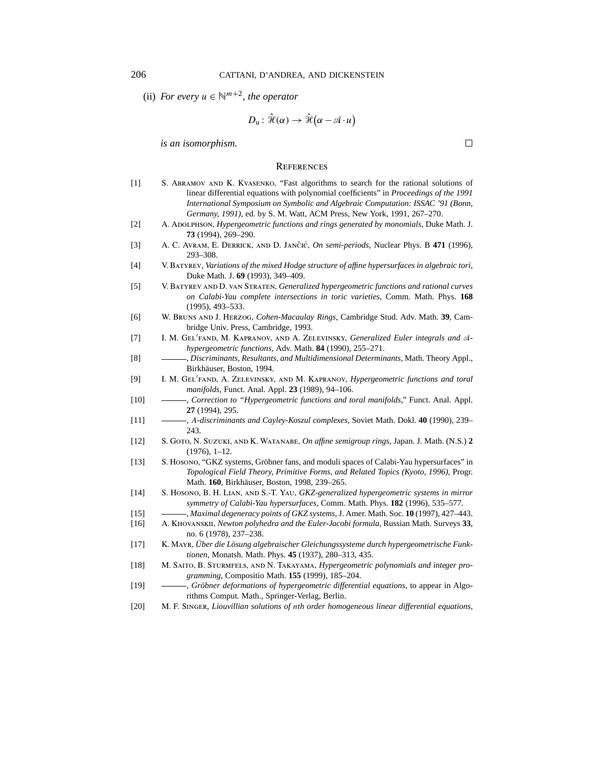(ii) *For every*  $u \in \mathbb{N}^{m+2}$ *, the operator* 

$$
D_u: \hat{\mathcal{H}}(\alpha) \to \hat{\mathcal{H}}(\alpha - \mathcal{A} \cdot u)
$$

*is an isomorphism.*

## **REFERENCES**

- [1] S. Abramov and K. Kvasenko, "Fast algorithms to search for the rational solutions of linear differential equations with polynomial coefficients" in *Proceedings of the 1991 International Symposium on Symbolic and Algebraic Computation: ISSAC '91 (Bonn, Germany, 1991),* ed. by S. M. Watt, ACM Press, New York, 1991, 267–270.
- [2] A. Adolphson, *Hypergeometric functions and rings generated by monomials*, Duke Math. J. **73** (1994), 269–290.
- [3] A. C. Avram, E. DERRICK, AND D. JANCIĆ, *On semi-periods*, Nuclear Phys. B 471 (1996), 293–308.
- [4] V. Batyrev, *Variations of the mixed Hodge structure of affine hypersurfaces in algebraic tori,* Duke Math. J. **69** (1993), 349–409.
- [5] V. Batyrev and D. van Straten, *Generalized hypergeometric functions and rational curves on Calabi-Yau complete intersections in toric varieties*, Comm. Math. Phys. **168** (1995), 493–533.
- [6] W. Bruns and J. Herzog, *Cohen-Macaulay Rings*, Cambridge Stud. Adv. Math. **39**, Cambridge Univ. Press, Cambridge, 1993.
- [7] I. M. GEL'FAND, M. KAPRANOV, AND A. ZELEVINSKY, *Generalized Euler integrals and Ahypergeometric functions*, Adv. Math. **84** (1990), 255–271.
- [8] , *Discriminants, Resultants, and Multidimensional Determinants*, Math. Theory Appl., Birkhäuser, Boston, 1994.
- [9] I. M. Gel fand, A. Zelevinsky, and M. Kapranov, *Hypergeometric functions and toral manifolds*, Funct. Anal. Appl. **23** (1989), 94–106.
- [10] , *Correction to "Hypergeometric functions and toral manifolds,"* Funct. Anal. Appl. **27** (1994), 295.
- [11] , A*-discriminants and Cayley-Koszul complexes*, Soviet Math. Dokl. **40** (1990), 239– 243.
- [12] S. Goto, N. Suzuki, and K. Watanabe, *On affine semigroup rings*, Japan. J. Math. (N.S.) **2** (1976), 1–12.
- [13] S. Hosono, "GKZ systems, Gröbner fans, and moduli spaces of Calabi-Yau hypersurfaces" in *Topological Field Theory, Primitive Forms, and Related Topics (Kyoto, 1996),* Progr. Math. **160**, Birkhäuser, Boston, 1998, 239–265.
- [14] S. Hosono, B. H. Lian, and S.-T. Yau, *GKZ-generalized hypergeometric systems in mirror symmetry of Calabi-Yau hypersurfaces*, Comm. Math. Phys. **182** (1996), 535–577.
- [15] , *Maximal degeneracy points of GKZ systems*, J. Amer. Math. Soc. **10** (1997), 427–443. [16] A. Khovanskii, *Newton polyhedra and the Euler-Jacobi formula*, RussianMath. Surveys **33**, no. 6 (1978), 237–238.
- [17] K. Mayr, *Über die Lösung algebraischer Gleichungssysteme durch hypergeometrische Funktionen*, Monatsh. Math. Phys. **45** (1937), 280–313, 435.
- [18] M. Saito, B. Sturmfels, and N. Takayama, *Hypergeometric polynomials and integer programming*, Compositio Math. **155** (1999), 185–204.
- [19] , *Gröbner deformations of hypergeometric differential equations*, to appear inAlgorithms Comput. Math., Springer-Verlag, Berlin.
- [20] M. F. Singer, *Liouvillian solutions of* n*th order homogeneous linear differential equations*,

 $\Box$